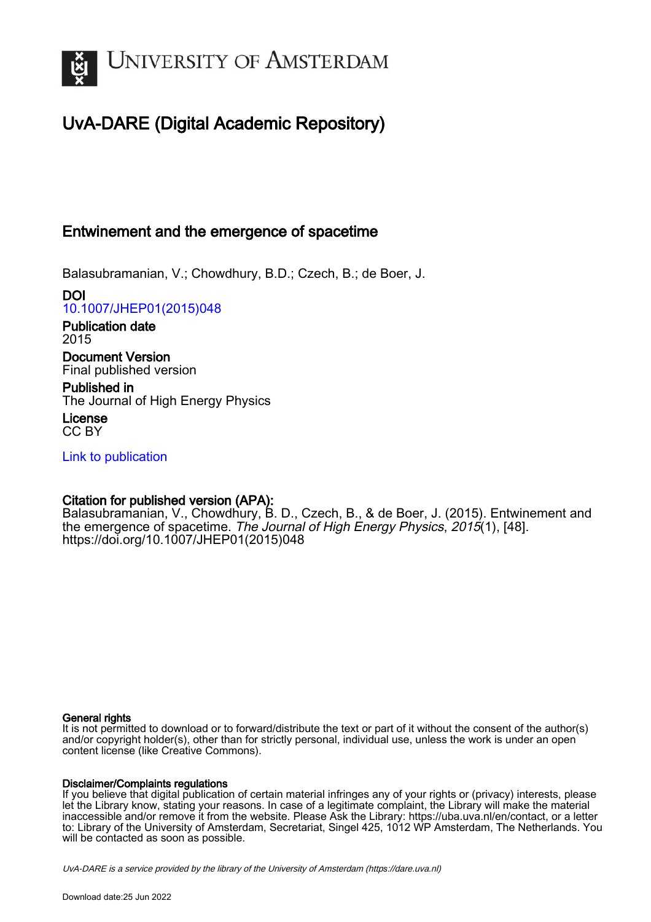

# UvA-DARE (Digital Academic Repository)

# Entwinement and the emergence of spacetime

Balasubramanian, V.; Chowdhury, B.D.; Czech, B.; de Boer, J.

DOI [10.1007/JHEP01\(2015\)048](https://doi.org/10.1007/JHEP01(2015)048)

Publication date 2015 Document Version

Final published version

Published in The Journal of High Energy Physics

License CC BY

[Link to publication](https://dare.uva.nl/personal/pure/en/publications/entwinement-and-the-emergence-of-spacetime(e7cd8a0a-cf2a-4d0e-9993-c3953588de01).html)

# Citation for published version (APA):

Balasubramanian, V., Chowdhury, B. D., Czech, B., & de Boer, J. (2015). Entwinement and the emergence of spacetime. The Journal of High Energy Physics, 2015(1), [48]. [https://doi.org/10.1007/JHEP01\(2015\)048](https://doi.org/10.1007/JHEP01(2015)048)

# General rights

It is not permitted to download or to forward/distribute the text or part of it without the consent of the author(s) and/or copyright holder(s), other than for strictly personal, individual use, unless the work is under an open content license (like Creative Commons).

# Disclaimer/Complaints regulations

If you believe that digital publication of certain material infringes any of your rights or (privacy) interests, please let the Library know, stating your reasons. In case of a legitimate complaint, the Library will make the material inaccessible and/or remove it from the website. Please Ask the Library: https://uba.uva.nl/en/contact, or a letter to: Library of the University of Amsterdam, Secretariat, Singel 425, 1012 WP Amsterdam, The Netherlands. You will be contacted as soon as possible.

UvA-DARE is a service provided by the library of the University of Amsterdam (http*s*://dare.uva.nl)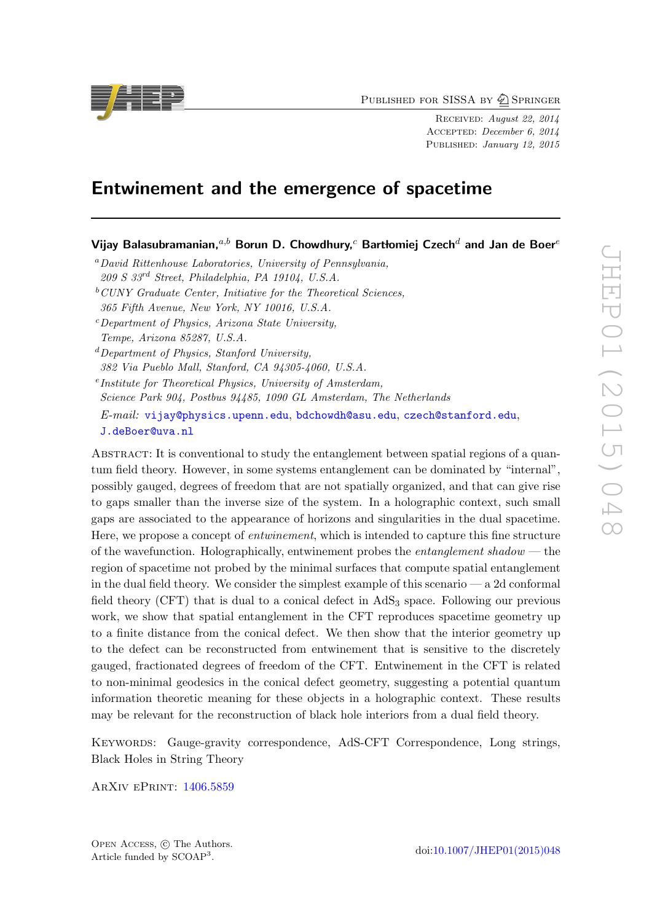PUBLISHED FOR SISSA BY 2 SPRINGER

Received: August 22, 2014 Accepted: December 6, 2014 Published: January 12, 2015

# Entwinement and the emergence of spacetime

Vijay Balasubramanian, $a,b$  Borun D. Chowdhury, $c$  Bartłomiej Czech $^d$  and Jan de Boer $^e$ 

- <sup>a</sup>David Rittenhouse Laboratories, University of Pennsylvania,
- 209 S 33rd Street, Philadelphia, PA 19104, U.S.A.
- $^{b}$  CUNY Graduate Center, Initiative for the Theoretical Sciences, 365 Fifth Avenue, New York, NY 10016, U.S.A.
- $c$ -Department of Physics, Arizona State University, Tempe, Arizona 85287, U.S.A.
- ${}^{d}$ Department of Physics, Stanford University, 382 Via Pueblo Mall, Stanford, CA 94305-4060, U.S.A.
- e Institute for Theoretical Physics, University of Amsterdam, Science Park 904, Postbus 94485, 1090 GL Amsterdam, The Netherlands E-mail: [vijay@physics.upenn.edu](mailto:vijay@physics.upenn.edu), [bdchowdh@asu.edu](mailto:bdchowdh@asu.edu), [czech@stanford.edu](mailto:czech@stanford.edu), [J.deBoer@uva.nl](mailto:J.deBoer@uva.nl)

ABSTRACT: It is conventional to study the entanglement between spatial regions of a quantum field theory. However, in some systems entanglement can be dominated by "internal", possibly gauged, degrees of freedom that are not spatially organized, and that can give rise to gaps smaller than the inverse size of the system. In a holographic context, such small gaps are associated to the appearance of horizons and singularities in the dual spacetime. Here, we propose a concept of entwinement, which is intended to capture this fine structure of the wavefunction. Holographically, entwinement probes the *entanglement shadow* — the region of spacetime not probed by the minimal surfaces that compute spatial entanglement in the dual field theory. We consider the simplest example of this scenario — a 2d conformal field theory (CFT) that is dual to a conical defect in  $AdS<sub>3</sub>$  space. Following our previous work, we show that spatial entanglement in the CFT reproduces spacetime geometry up to a finite distance from the conical defect. We then show that the interior geometry up to the defect can be reconstructed from entwinement that is sensitive to the discretely gauged, fractionated degrees of freedom of the CFT. Entwinement in the CFT is related to non-minimal geodesics in the conical defect geometry, suggesting a potential quantum information theoretic meaning for these objects in a holographic context. These results may be relevant for the reconstruction of black hole interiors from a dual field theory.

KEYWORDS: Gauge-gravity correspondence, AdS-CFT Correspondence, Long strings, Black Holes in String Theory

ArXiv ePrint: [1406.5859](http://arxiv.org/abs/1406.5859)

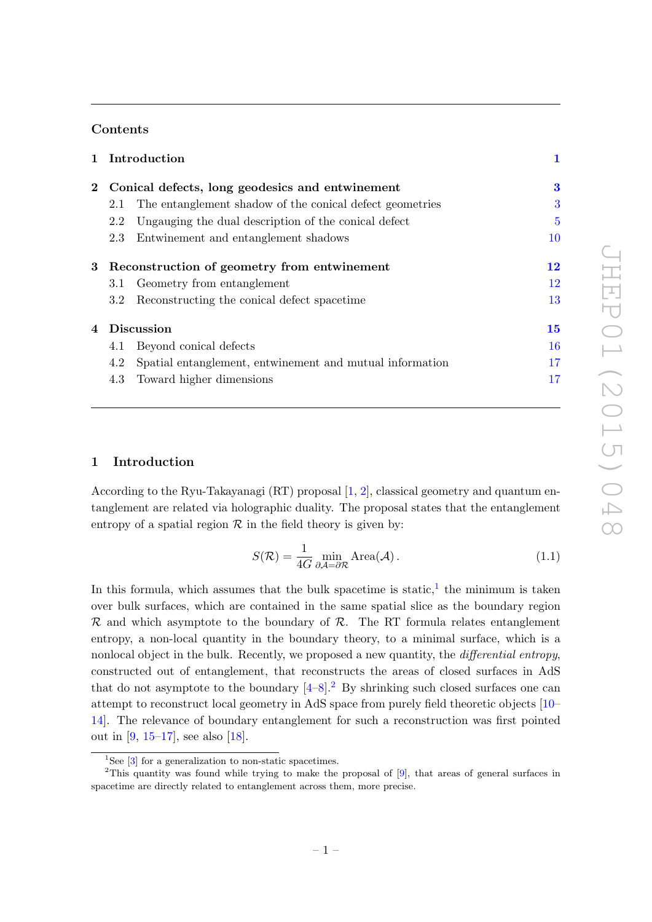# Contents

|         | 1 Introduction<br>Conical defects, long geodesics and entwinement |                                                          | 1<br>3         |
|---------|-------------------------------------------------------------------|----------------------------------------------------------|----------------|
| $2^{-}$ |                                                                   |                                                          |                |
|         | 2.1                                                               | The entanglement shadow of the conical defect geometries | 3              |
|         | 2.2                                                               | Ungauging the dual description of the conical defect     | $\overline{5}$ |
|         | 2.3                                                               | Entwinement and entanglement shadows                     | <b>10</b>      |
| 3       | Reconstruction of geometry from entwinement                       |                                                          | 12             |
|         | 3.1                                                               | Geometry from entanglement                               | 12             |
|         | $3.2\,$                                                           | Reconstructing the conical defect spacetime              | 13             |
| 4       | <b>Discussion</b>                                                 |                                                          | 15             |
|         | 4.1                                                               | Beyond conical defects                                   | 16             |
|         | 4.2                                                               | Spatial entanglement, entwinement and mutual information | 17             |
|         | 4.3                                                               | Toward higher dimensions                                 | $17\,$         |

# <span id="page-2-0"></span>1 Introduction

According to the Ryu-Takayanagi  $(RT)$  proposal  $[1, 2]$  $[1, 2]$  $[1, 2]$ , classical geometry and quantum entanglement are related via holographic duality. The proposal states that the entanglement entropy of a spatial region  $R$  in the field theory is given by:

<span id="page-2-3"></span>
$$
S(\mathcal{R}) = \frac{1}{4G} \min_{\partial \mathcal{A} = \partial \mathcal{R}} \text{Area}(\mathcal{A}). \tag{1.1}
$$

In this formula, which assumes that the bulk spacetime is static,  $\frac{1}{1}$  $\frac{1}{1}$  $\frac{1}{1}$  the minimum is taken over bulk surfaces, which are contained in the same spatial slice as the boundary region  $\mathcal R$  and which asymptote to the boundary of  $\mathcal R$ . The RT formula relates entanglement entropy, a non-local quantity in the boundary theory, to a minimal surface, which is a nonlocal object in the bulk. Recently, we proposed a new quantity, the *differential entropy*, constructed out of entanglement, that reconstructs the areas of closed surfaces in AdS that do not asymptote to the boundary  $[4-8]^2$  $[4-8]^2$  $[4-8]^2$  $[4-8]^2$ . By shrinking such closed surfaces one can attempt to reconstruct local geometry in AdS space from purely field theoretic objects [\[10–](#page-20-0) [14\]](#page-20-1). The relevance of boundary entanglement for such a reconstruction was first pointed out in [\[9,](#page-20-2) [15–](#page-20-3)[17\]](#page-20-4), see also [\[18\]](#page-20-5).

<span id="page-2-2"></span><span id="page-2-1"></span> $1$ See [\[3\]](#page-19-4) for a generalization to non-static spacetimes.

<sup>&</sup>lt;sup>2</sup>This quantity was found while trying to make the proposal of [\[9\]](#page-20-2), that areas of general surfaces in spacetime are directly related to entanglement across them, more precise.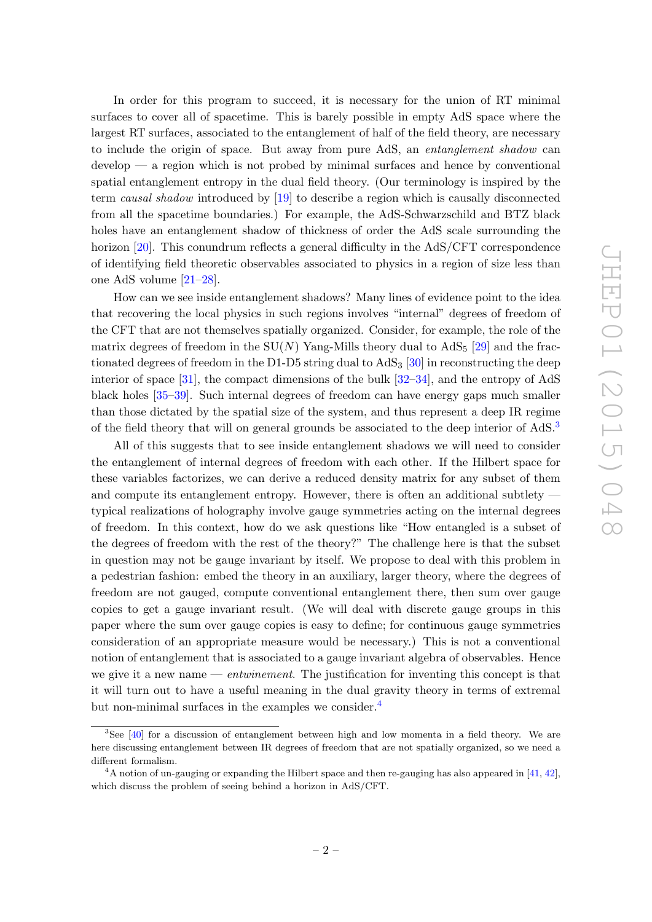In order for this program to succeed, it is necessary for the union of RT minimal surfaces to cover all of spacetime. This is barely possible in empty AdS space where the largest RT surfaces, associated to the entanglement of half of the field theory, are necessary to include the origin of space. But away from pure AdS, an entanglement shadow can develop — a region which is not probed by minimal surfaces and hence by conventional spatial entanglement entropy in the dual field theory. (Our terminology is inspired by the term causal shadow introduced by [\[19\]](#page-20-6) to describe a region which is causally disconnected from all the spacetime boundaries.) For example, the AdS-Schwarzschild and BTZ black holes have an entanglement shadow of thickness of order the AdS scale surrounding the horizon [\[20\]](#page-20-7). This conundrum reflects a general difficulty in the AdS/CFT correspondence of identifying field theoretic observables associated to physics in a region of size less than one AdS volume [\[21](#page-20-8)[–28\]](#page-20-9).

How can we see inside entanglement shadows? Many lines of evidence point to the idea that recovering the local physics in such regions involves "internal" degrees of freedom of the CFT that are not themselves spatially organized. Consider, for example, the role of the matrix degrees of freedom in the  $SU(N)$  Yang-Mills theory dual to  $AdS<sub>5</sub>$  [\[29\]](#page-21-0) and the fractionated degrees of freedom in the D1-D5 string dual to  $AdS<sub>3</sub>$  [\[30\]](#page-21-1) in reconstructing the deep interior of space [\[31\]](#page-21-2), the compact dimensions of the bulk  $[32-34]$  $[32-34]$ , and the entropy of AdS black holes [\[35–](#page-21-5)[39\]](#page-21-6). Such internal degrees of freedom can have energy gaps much smaller than those dictated by the spatial size of the system, and thus represent a deep IR regime of the field theory that will on general grounds be associated to the deep interior of AdS.[3](#page-3-0)

All of this suggests that to see inside entanglement shadows we will need to consider the entanglement of internal degrees of freedom with each other. If the Hilbert space for these variables factorizes, we can derive a reduced density matrix for any subset of them and compute its entanglement entropy. However, there is often an additional subtlety typical realizations of holography involve gauge symmetries acting on the internal degrees of freedom. In this context, how do we ask questions like "How entangled is a subset of the degrees of freedom with the rest of the theory?" The challenge here is that the subset in question may not be gauge invariant by itself. We propose to deal with this problem in a pedestrian fashion: embed the theory in an auxiliary, larger theory, where the degrees of freedom are not gauged, compute conventional entanglement there, then sum over gauge copies to get a gauge invariant result. (We will deal with discrete gauge groups in this paper where the sum over gauge copies is easy to define; for continuous gauge symmetries consideration of an appropriate measure would be necessary.) This is not a conventional notion of entanglement that is associated to a gauge invariant algebra of observables. Hence we give it a new name — *entwinement*. The justification for inventing this concept is that it will turn out to have a useful meaning in the dual gravity theory in terms of extremal but non-minimal surfaces in the examples we consider.<sup>[4](#page-3-1)</sup>

<span id="page-3-0"></span><sup>3</sup>See [\[40\]](#page-21-7) for a discussion of entanglement between high and low momenta in a field theory. We are here discussing entanglement between IR degrees of freedom that are not spatially organized, so we need a different formalism.

<span id="page-3-1"></span> $4A$  notion of un-gauging or expanding the Hilbert space and then re-gauging has also appeared in [\[41,](#page-21-8) [42\]](#page-21-9), which discuss the problem of seeing behind a horizon in AdS/CFT.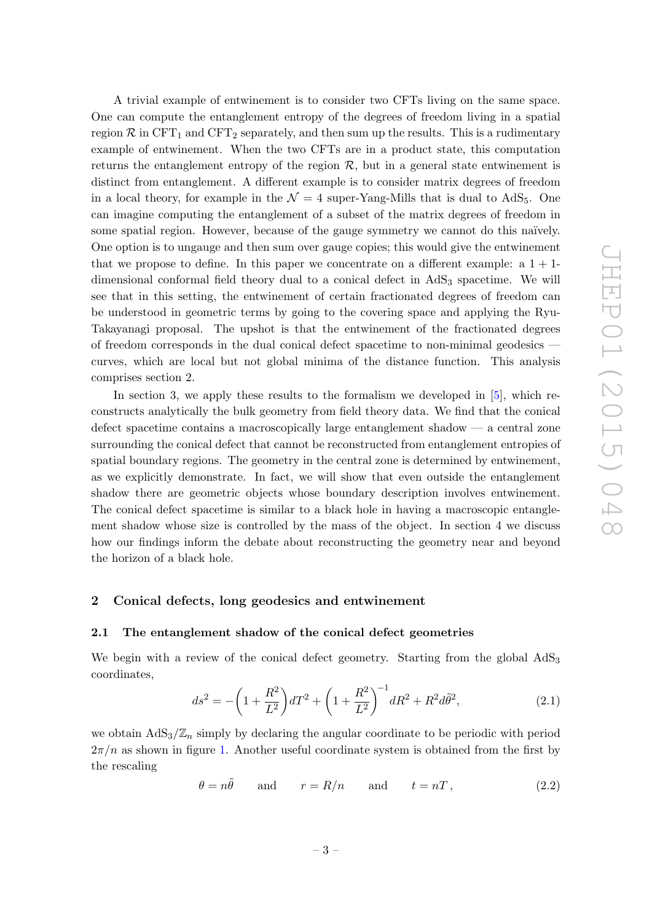A trivial example of entwinement is to consider two CFTs living on the same space. One can compute the entanglement entropy of the degrees of freedom living in a spatial region  $\mathcal{R}$  in CFT<sub>1</sub> and CFT<sub>2</sub> separately, and then sum up the results. This is a rudimentary example of entwinement. When the two CFTs are in a product state, this computation returns the entanglement entropy of the region  $R$ , but in a general state entwinement is distinct from entanglement. A different example is to consider matrix degrees of freedom in a local theory, for example in the  $\mathcal{N} = 4$  super-Yang-Mills that is dual to AdS<sub>5</sub>. One can imagine computing the entanglement of a subset of the matrix degrees of freedom in some spatial region. However, because of the gauge symmetry we cannot do this naïvely. One option is to ungauge and then sum over gauge copies; this would give the entwinement that we propose to define. In this paper we concentrate on a different example: a  $1 + 1$ dimensional conformal field theory dual to a conical defect in  $AdS<sub>3</sub>$  spacetime. We will see that in this setting, the entwinement of certain fractionated degrees of freedom can be understood in geometric terms by going to the covering space and applying the Ryu-Takayanagi proposal. The upshot is that the entwinement of the fractionated degrees of freedom corresponds in the dual conical defect spacetime to non-minimal geodesics curves, which are local but not global minima of the distance function. This analysis comprises section 2.

In section 3, we apply these results to the formalism we developed in [\[5\]](#page-19-5), which reconstructs analytically the bulk geometry from field theory data. We find that the conical defect spacetime contains a macroscopically large entanglement shadow — a central zone surrounding the conical defect that cannot be reconstructed from entanglement entropies of spatial boundary regions. The geometry in the central zone is determined by entwinement, as we explicitly demonstrate. In fact, we will show that even outside the entanglement shadow there are geometric objects whose boundary description involves entwinement. The conical defect spacetime is similar to a black hole in having a macroscopic entanglement shadow whose size is controlled by the mass of the object. In section 4 we discuss how our findings inform the debate about reconstructing the geometry near and beyond the horizon of a black hole.

### <span id="page-4-0"></span>2 Conical defects, long geodesics and entwinement

#### <span id="page-4-1"></span>2.1 The entanglement shadow of the conical defect geometries

We begin with a review of the conical defect geometry. Starting from the global AdS<sub>3</sub> coordinates,

<span id="page-4-3"></span>
$$
ds^{2} = -\left(1 + \frac{R^{2}}{L^{2}}\right)dT^{2} + \left(1 + \frac{R^{2}}{L^{2}}\right)^{-1}dR^{2} + R^{2}d\tilde{\theta}^{2},
$$
\n(2.1)

we obtain  $AdS_3/\mathbb{Z}_n$  simply by declaring the angular coordinate to be periodic with period  $2\pi/n$  as shown in figure [1.](#page-5-0) Another useful coordinate system is obtained from the first by the rescaling

<span id="page-4-2"></span>
$$
\theta = n\tilde{\theta} \quad \text{and} \quad r = R/n \quad \text{and} \quad t = nT, \tag{2.2}
$$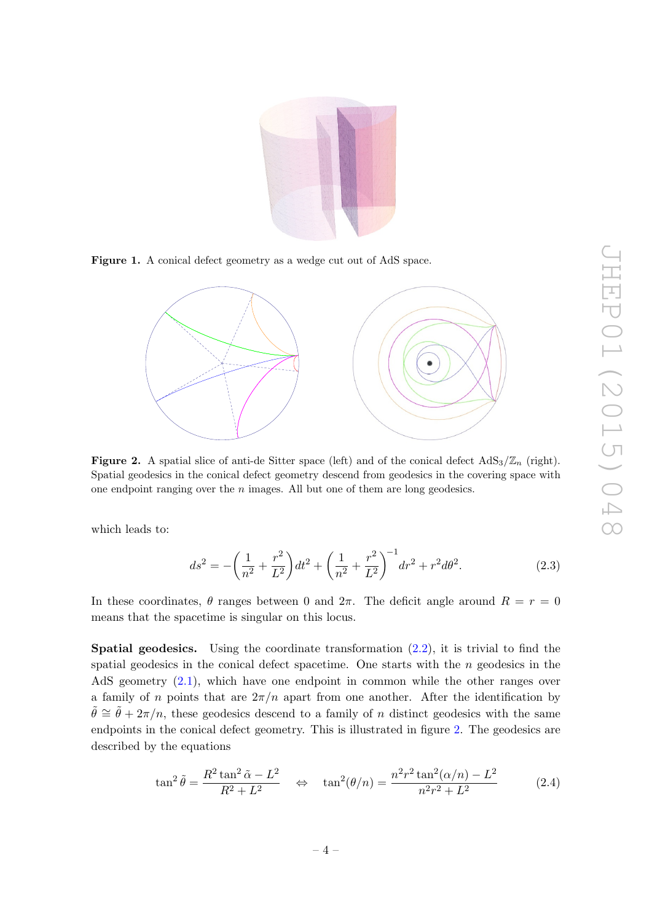<span id="page-5-0"></span>

Figure 1. A conical defect geometry as a wedge cut out of AdS space.

<span id="page-5-1"></span>

**Figure 2.** A spatial slice of anti-de Sitter space (left) and of the conical defect  $AdS_3/\mathbb{Z}_n$  (right). Spatial geodesics in the conical defect geometry descend from geodesics in the covering space with one endpoint ranging over the  $n$  images. All but one of them are long geodesics.

which leads to:

<span id="page-5-2"></span>
$$
ds^{2} = -\left(\frac{1}{n^{2}} + \frac{r^{2}}{L^{2}}\right)dt^{2} + \left(\frac{1}{n^{2}} + \frac{r^{2}}{L^{2}}\right)^{-1}dr^{2} + r^{2}d\theta^{2}.
$$
 (2.3)

In these coordinates,  $\theta$  ranges between 0 and  $2\pi$ . The deficit angle around  $R = r = 0$ means that the spacetime is singular on this locus.

**Spatial geodesics.** Using the coordinate transformation  $(2.2)$ , it is trivial to find the spatial geodesics in the conical defect spacetime. One starts with the  $n$  geodesics in the AdS geometry [\(2.1\)](#page-4-3), which have one endpoint in common while the other ranges over a family of n points that are  $2\pi/n$  apart from one another. After the identification by  $\tilde{\theta} \cong \tilde{\theta} + 2\pi/n$ , these geodesics descend to a family of n distinct geodesics with the same endpoints in the conical defect geometry. This is illustrated in figure [2.](#page-5-1) The geodesics are described by the equations

<span id="page-5-3"></span>
$$
\tan^2 \tilde{\theta} = \frac{R^2 \tan^2 \tilde{\alpha} - L^2}{R^2 + L^2} \quad \Leftrightarrow \quad \tan^2(\theta/n) = \frac{n^2 r^2 \tan^2(\alpha/n) - L^2}{n^2 r^2 + L^2} \tag{2.4}
$$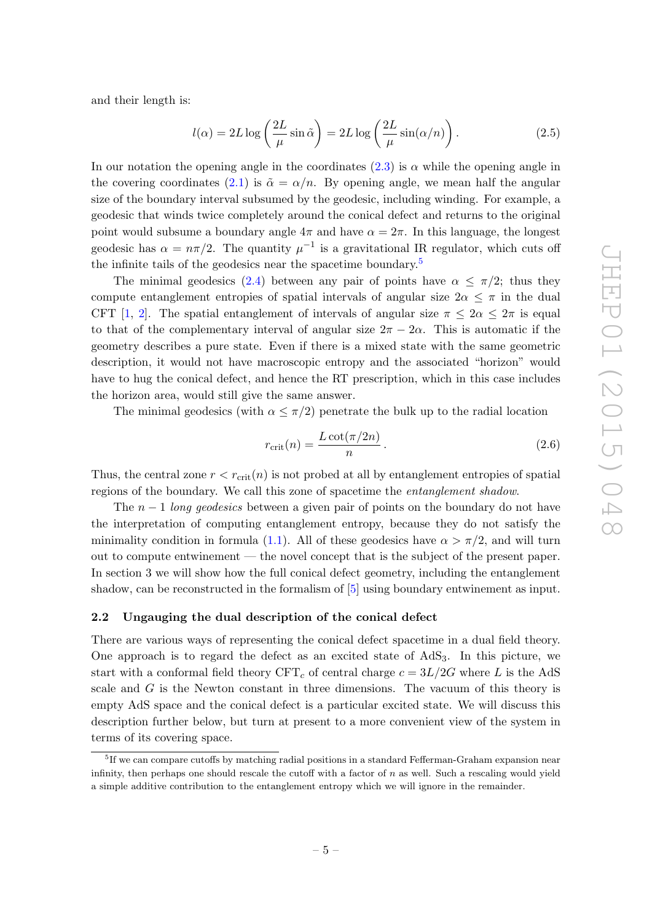and their length is:

<span id="page-6-2"></span>
$$
l(\alpha) = 2L \log \left( \frac{2L}{\mu} \sin \tilde{\alpha} \right) = 2L \log \left( \frac{2L}{\mu} \sin(\alpha/n) \right). \tag{2.5}
$$

In our notation the opening angle in the coordinates  $(2.3)$  is  $\alpha$  while the opening angle in the covering coordinates [\(2.1\)](#page-4-3) is  $\tilde{\alpha} = \alpha/n$ . By opening angle, we mean half the angular size of the boundary interval subsumed by the geodesic, including winding. For example, a geodesic that winds twice completely around the conical defect and returns to the original point would subsume a boundary angle  $4\pi$  and have  $\alpha = 2\pi$ . In this language, the longest geodesic has  $\alpha = n\pi/2$ . The quantity  $\mu^{-1}$  is a gravitational IR regulator, which cuts off the infinite tails of the geodesics near the spacetime boundary.<sup>[5](#page-6-1)</sup>

The minimal geodesics [\(2.4\)](#page-5-3) between any pair of points have  $\alpha \leq \pi/2$ ; thus they compute entanglement entropies of spatial intervals of angular size  $2\alpha \leq \pi$  in the dual CFT [\[1,](#page-19-0) [2\]](#page-19-1). The spatial entanglement of intervals of angular size  $\pi \leq 2\alpha \leq 2\pi$  is equal to that of the complementary interval of angular size  $2\pi - 2\alpha$ . This is automatic if the geometry describes a pure state. Even if there is a mixed state with the same geometric description, it would not have macroscopic entropy and the associated "horizon" would have to hug the conical defect, and hence the RT prescription, which in this case includes the horizon area, would still give the same answer.

The minimal geodesics (with  $\alpha \leq \pi/2$ ) penetrate the bulk up to the radial location

<span id="page-6-3"></span>
$$
r_{\rm crit}(n) = \frac{L \cot(\pi/2n)}{n} \,. \tag{2.6}
$$

Thus, the central zone  $r < r_{\text{crit}}(n)$  is not probed at all by entanglement entropies of spatial regions of the boundary. We call this zone of spacetime the entanglement shadow.

The  $n-1$  long geodesics between a given pair of points on the boundary do not have the interpretation of computing entanglement entropy, because they do not satisfy the minimality condition in formula [\(1.1\)](#page-2-3). All of these geodesics have  $\alpha > \pi/2$ , and will turn out to compute entwinement — the novel concept that is the subject of the present paper. In section 3 we will show how the full conical defect geometry, including the entanglement shadow, can be reconstructed in the formalism of [\[5\]](#page-19-5) using boundary entwinement as input.

# <span id="page-6-0"></span>2.2 Ungauging the dual description of the conical defect

There are various ways of representing the conical defect spacetime in a dual field theory. One approach is to regard the defect as an excited state of  $AdS_3$ . In this picture, we start with a conformal field theory  $CFT_c$  of central charge  $c = 3L/2G$  where L is the AdS scale and  $G$  is the Newton constant in three dimensions. The vacuum of this theory is empty AdS space and the conical defect is a particular excited state. We will discuss this description further below, but turn at present to a more convenient view of the system in terms of its covering space.

<span id="page-6-1"></span><sup>&</sup>lt;sup>5</sup>If we can compare cutoffs by matching radial positions in a standard Fefferman-Graham expansion near infinity, then perhaps one should rescale the cutoff with a factor of  $n$  as well. Such a rescaling would yield a simple additive contribution to the entanglement entropy which we will ignore in the remainder.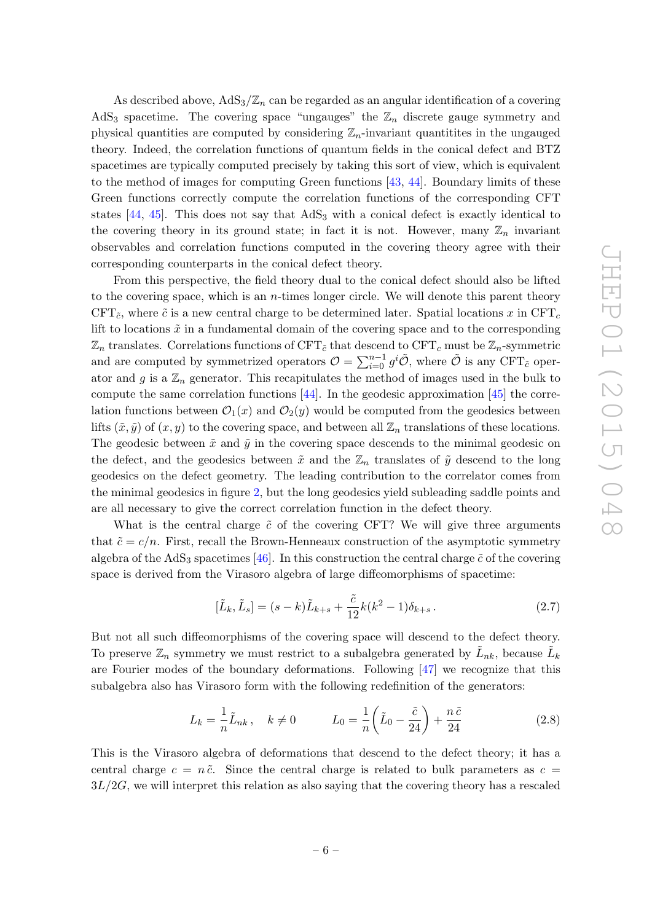As described above,  $AdS_3/\mathbb{Z}_n$  can be regarded as an angular identification of a covering AdS<sub>3</sub> spacetime. The covering space "ungauges" the  $\mathbb{Z}_n$  discrete gauge symmetry and physical quantities are computed by considering  $\mathbb{Z}_n$ -invariant quantities in the ungauged theory. Indeed, the correlation functions of quantum fields in the conical defect and BTZ spacetimes are typically computed precisely by taking this sort of view, which is equivalent to the method of images for computing Green functions [\[43,](#page-21-10) [44\]](#page-21-11). Boundary limits of these Green functions correctly compute the correlation functions of the corresponding CFT states  $[44, 45]$  $[44, 45]$  $[44, 45]$ . This does not say that  $AdS<sub>3</sub>$  with a conical defect is exactly identical to the covering theory in its ground state; in fact it is not. However, many  $\mathbb{Z}_n$  invariant observables and correlation functions computed in the covering theory agree with their corresponding counterparts in the conical defect theory.

From this perspective, the field theory dual to the conical defect should also be lifted to the covering space, which is an  $n$ -times longer circle. We will denote this parent theory CFT<sub> $\tilde{c}$ </sub>, where  $\tilde{c}$  is a new central charge to be determined later. Spatial locations x in CFT<sub>c</sub> lift to locations  $\tilde{x}$  in a fundamental domain of the covering space and to the corresponding  $\mathbb{Z}_n$  translates. Correlations functions of CFT<sub>c</sub><sup>that</sup> descend to CFT<sub>c</sub> must be  $\mathbb{Z}_n$ -symmetric and are computed by symmetrized operators  $\mathcal{O} = \sum_{i=0}^{n-1} g^i \tilde{\mathcal{O}}$ , where  $\tilde{\mathcal{O}}$  is any CFT<sub>c</sub><sup>o</sup> operator and g is a  $\mathbb{Z}_n$  generator. This recapitulates the method of images used in the bulk to compute the same correlation functions  $[44]$ . In the geodesic approximation  $[45]$  the correlation functions between  $\mathcal{O}_1(x)$  and  $\mathcal{O}_2(y)$  would be computed from the geodesics between lifts  $(\tilde{x}, \tilde{y})$  of  $(x, y)$  to the covering space, and between all  $\mathbb{Z}_n$  translations of these locations. The geodesic between  $\tilde{x}$  and  $\tilde{y}$  in the covering space descends to the minimal geodesic on the defect, and the geodesics between  $\tilde{x}$  and the  $\mathbb{Z}_n$  translates of  $\tilde{y}$  descend to the long geodesics on the defect geometry. The leading contribution to the correlator comes from the minimal geodesics in figure [2,](#page-5-1) but the long geodesics yield subleading saddle points and are all necessary to give the correct correlation function in the defect theory.

What is the central charge  $\tilde{c}$  of the covering CFT? We will give three arguments that  $\tilde{c} = c/n$ . First, recall the Brown-Henneaux construction of the asymptotic symmetry algebra of the AdS<sub>3</sub> spacetimes [\[46\]](#page-21-13). In this construction the central charge  $\tilde{c}$  of the covering space is derived from the Virasoro algebra of large diffeomorphisms of spacetime:

$$
[\tilde{L}_k, \tilde{L}_s] = (s - k)\tilde{L}_{k+s} + \frac{\tilde{c}}{12}k(k^2 - 1)\delta_{k+s}.
$$
\n(2.7)

But not all such diffeomorphisms of the covering space will descend to the defect theory. To preserve  $\mathbb{Z}_n$  symmetry we must restrict to a subalgebra generated by  $\tilde{L}_{nk}$ , because  $\tilde{L}_k$ are Fourier modes of the boundary deformations. Following  $[47]$  we recognize that this subalgebra also has Virasoro form with the following redefinition of the generators:

$$
L_k = \frac{1}{n}\tilde{L}_{nk}, \quad k \neq 0 \qquad L_0 = \frac{1}{n}\left(\tilde{L}_0 - \frac{\tilde{c}}{24}\right) + \frac{n\tilde{c}}{24} \tag{2.8}
$$

This is the Virasoro algebra of deformations that descend to the defect theory; it has a central charge  $c = n\tilde{c}$ . Since the central charge is related to bulk parameters as  $c =$  $3L/2G$ , we will interpret this relation as also saying that the covering theory has a rescaled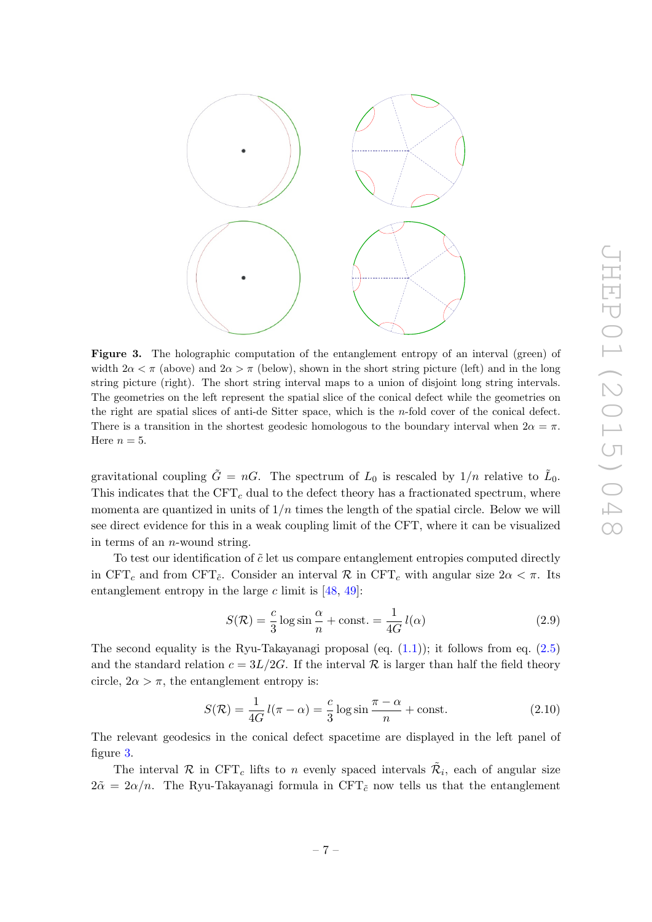<span id="page-8-0"></span>

Figure 3. The holographic computation of the entanglement entropy of an interval (green) of width  $2\alpha < \pi$  (above) and  $2\alpha > \pi$  (below), shown in the short string picture (left) and in the long string picture (right). The short string interval maps to a union of disjoint long string intervals. The geometries on the left represent the spatial slice of the conical defect while the geometries on the right are spatial slices of anti-de Sitter space, which is the n-fold cover of the conical defect. There is a transition in the shortest geodesic homologous to the boundary interval when  $2\alpha = \pi$ . Here  $n = 5$ .

gravitational coupling  $\tilde{G} = nG$ . The spectrum of  $L_0$  is rescaled by  $1/n$  relative to  $\tilde{L}_0$ . This indicates that the  $CFT_c$  dual to the defect theory has a fractionated spectrum, where momenta are quantized in units of  $1/n$  times the length of the spatial circle. Below we will see direct evidence for this in a weak coupling limit of the CFT, where it can be visualized in terms of an n-wound string.

To test our identification of  $\tilde{c}$  let us compare entanglement entropies computed directly in CFT<sub>c</sub> and from CFT<sub>c</sub>. Consider an interval R in CFT<sub>c</sub> with angular size  $2\alpha < \pi$ . Its entanglement entropy in the large  $c$  limit is [\[48,](#page-21-15) [49\]](#page-22-0):

<span id="page-8-1"></span>
$$
S(\mathcal{R}) = \frac{c}{3}\log\sin\frac{\alpha}{n} + \text{const.} = \frac{1}{4G}l(\alpha)
$$
\n(2.9)

The second equality is the Ryu-Takayanagi proposal (eq.  $(1.1)$ ); it follows from eq.  $(2.5)$ and the standard relation  $c = 3L/2G$ . If the interval R is larger than half the field theory circle,  $2\alpha > \pi$ , the entanglement entropy is:

<span id="page-8-2"></span>
$$
S(\mathcal{R}) = \frac{1}{4G} l(\pi - \alpha) = \frac{c}{3} \log \sin \frac{\pi - \alpha}{n} + \text{const.}
$$
 (2.10)

The relevant geodesics in the conical defect spacetime are displayed in the left panel of figure [3.](#page-8-0)

The interval R in CFT<sub>c</sub> lifts to n evenly spaced intervals  $\tilde{\mathcal{R}}_i$ , each of angular size  $2\tilde{\alpha} = 2\alpha/n$ . The Ryu-Takayanagi formula in CFT<sub>c</sub> now tells us that the entanglement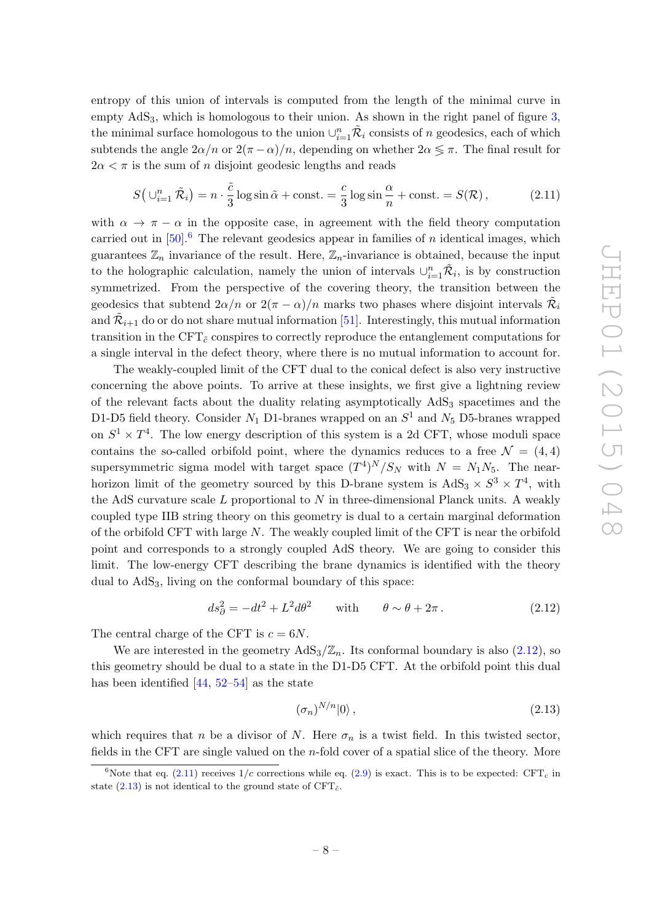entropy of this union of intervals is computed from the length of the minimal curve in empty  $AdS<sub>3</sub>$ , which is homologous to their union. As shown in the right panel of figure [3,](#page-8-0) the minimal surface homologous to the union  $\cup_{i=1}^{n} \tilde{\mathcal{R}}_i$  consists of n geodesics, each of which subtends the angle  $2\alpha/n$  or  $2(\pi - \alpha)/n$ , depending on whether  $2\alpha \leq \pi$ . The final result for  $2\alpha < \pi$  is the sum of *n* disjoint geodesic lengths and reads

<span id="page-9-2"></span>
$$
S\left(\bigcup_{i=1}^{n} \tilde{\mathcal{R}}_{i}\right) = n \cdot \frac{\tilde{c}}{3} \log \sin \tilde{\alpha} + \text{const.} = \frac{c}{3} \log \sin \frac{\alpha}{n} + \text{const.} = S(\mathcal{R}),\tag{2.11}
$$

with  $\alpha \to \pi - \alpha$  in the opposite case, in agreement with the field theory computation carried out in  $[50]$ .<sup>[6](#page-9-0)</sup> The relevant geodesics appear in families of *n* identical images, which guarantees  $\mathbb{Z}_n$  invariance of the result. Here,  $\mathbb{Z}_n$ -invariance is obtained, because the input to the holographic calculation, namely the union of intervals  $\cup_{i=1}^n \tilde{\mathcal{R}}_i$ , is by construction symmetrized. From the perspective of the covering theory, the transition between the geodesics that subtend  $2\alpha/n$  or  $2(\pi - \alpha)/n$  marks two phases where disjoint intervals  $\tilde{\mathcal{R}}_i$ and  $\tilde{\mathcal{R}}_{i+1}$  do or do not share mutual information [\[51\]](#page-22-2). Interestingly, this mutual information transition in the CFT $_{\tilde{c}}$  conspires to correctly reproduce the entanglement computations for a single interval in the defect theory, where there is no mutual information to account for.

The weakly-coupled limit of the CFT dual to the conical defect is also very instructive concerning the above points. To arrive at these insights, we first give a lightning review of the relevant facts about the duality relating asymptotically  $AdS<sub>3</sub>$  spacetimes and the D1-D5 field theory. Consider  $N_1$  D1-branes wrapped on an  $S^1$  and  $N_5$  D5-branes wrapped on  $S^1 \times T^4$ . The low energy description of this system is a 2d CFT, whose moduli space contains the so-called orbifold point, where the dynamics reduces to a free  $\mathcal{N} = (4, 4)$ supersymmetric sigma model with target space  $(T^4)^N/S_N$  with  $N = N_1N_5$ . The nearhorizon limit of the geometry sourced by this D-brane system is  $AdS_3 \times S^3 \times T^4$ , with the AdS curvature scale  $L$  proportional to  $N$  in three-dimensional Planck units. A weakly coupled type IIB string theory on this geometry is dual to a certain marginal deformation of the orbifold CFT with large  $N$ . The weakly coupled limit of the CFT is near the orbifold point and corresponds to a strongly coupled AdS theory. We are going to consider this limit. The low-energy CFT describing the brane dynamics is identified with the theory dual to  $AdS<sub>3</sub>$ , living on the conformal boundary of this space:

<span id="page-9-1"></span>
$$
ds_{\partial}^{2} = -dt^{2} + L^{2}d\theta^{2} \quad \text{with} \quad \theta \sim \theta + 2\pi. \tag{2.12}
$$

The central charge of the CFT is  $c = 6N$ .

We are interested in the geometry  $AdS_3/\mathbb{Z}_n$ . Its conformal boundary is also [\(2.12\)](#page-9-1), so this geometry should be dual to a state in the D1-D5 CFT. At the orbifold point this dual has been identified [\[44,](#page-21-11) [52–](#page-22-3)[54\]](#page-22-4) as the state

<span id="page-9-3"></span>
$$
(\sigma_n)^{N/n}|0\rangle\,,\tag{2.13}
$$

which requires that n be a divisor of N. Here  $\sigma_n$  is a twist field. In this twisted sector, fields in the CFT are single valued on the *n*-fold cover of a spatial slice of the theory. More

<span id="page-9-0"></span><sup>&</sup>lt;sup>6</sup>Note that eq. [\(2.11\)](#page-9-2) receives  $1/c$  corrections while eq. [\(2.9\)](#page-8-1) is exact. This is to be expected: CFT<sub>c</sub> in state [\(2.13\)](#page-9-3) is not identical to the ground state of CFT $_{\tilde{c}}$ .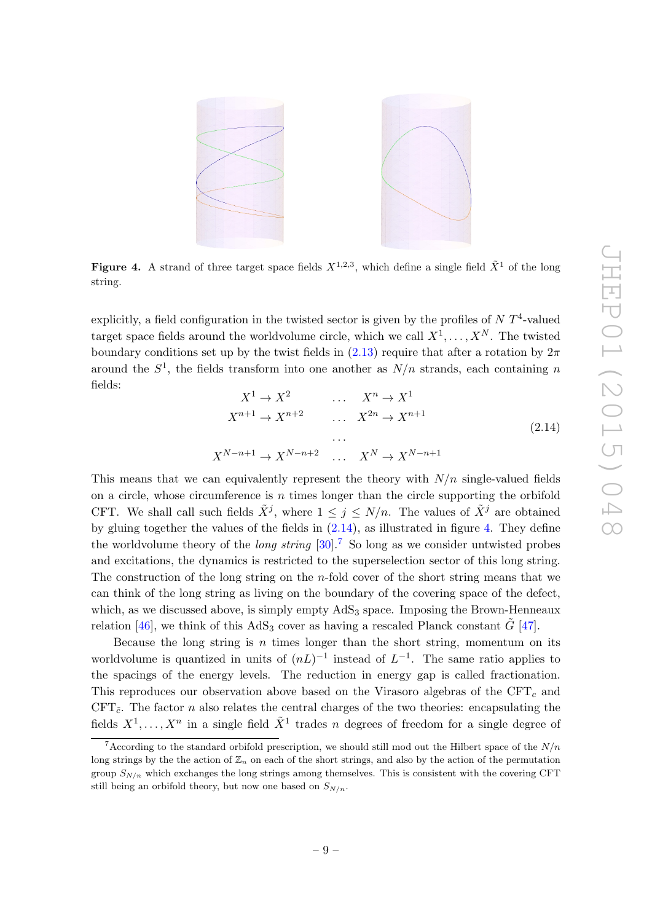<span id="page-10-1"></span>

**Figure 4.** A strand of three target space fields  $X^{1,2,3}$ , which define a single field  $\tilde{X}^1$  of the long string.

explicitly, a field configuration in the twisted sector is given by the profiles of  $N T<sup>4</sup>$ -valued target space fields around the worldvolume circle, which we call  $X^1, \ldots, X^N$ . The twisted boundary conditions set up by the twist fields in  $(2.13)$  require that after a rotation by  $2\pi$ around the  $S^1$ , the fields transform into one another as  $N/n$  strands, each containing n fields:

<span id="page-10-0"></span>
$$
X^{1} \rightarrow X^{2} \qquad \dots \qquad X^{n} \rightarrow X^{1}
$$
\n
$$
X^{n+1} \rightarrow X^{n+2} \qquad \dots \qquad X^{2n} \rightarrow X^{n+1}
$$
\n
$$
\dots
$$
\n
$$
X^{N-n+1} \rightarrow X^{N-n+2} \qquad \dots \qquad X^{N} \rightarrow X^{N-n+1}
$$
\n
$$
(2.14)
$$

This means that we can equivalently represent the theory with  $N/n$  single-valued fields on a circle, whose circumference is  $n$  times longer than the circle supporting the orbifold CFT. We shall call such fields  $\tilde{X}^j$ , where  $1 \leq j \leq N/n$ . The values of  $\tilde{X}^j$  are obtained by gluing together the values of the fields in [\(2.14\)](#page-10-0), as illustrated in figure [4.](#page-10-1) They define the worldvolume theory of the *long string* [\[30\]](#page-21-1).<sup>[7](#page-10-2)</sup> So long as we consider untwisted probes and excitations, the dynamics is restricted to the superselection sector of this long string. The construction of the long string on the n-fold cover of the short string means that we can think of the long string as living on the boundary of the covering space of the defect, which, as we discussed above, is simply empty  $AdS<sub>3</sub>$  space. Imposing the Brown-Henneaux relation [\[46\]](#page-21-13), we think of this AdS<sub>3</sub> cover as having a rescaled Planck constant  $G$  [\[47\]](#page-21-14).

Because the long string is  $n$  times longer than the short string, momentum on its worldvolume is quantized in units of  $(nL)^{-1}$  instead of  $L^{-1}$ . The same ratio applies to the spacings of the energy levels. The reduction in energy gap is called fractionation. This reproduces our observation above based on the Virasoro algebras of the  $CFT_c$  and CFT $_{\tilde{c}}$ . The factor *n* also relates the central charges of the two theories: encapsulating the fields  $X^1, \ldots, X^n$  in a single field  $\tilde{X}^1$  trades n degrees of freedom for a single degree of

<span id="page-10-2"></span><sup>&</sup>lt;sup>7</sup> According to the standard orbifold prescription, we should still mod out the Hilbert space of the  $N/n$ long strings by the the action of  $\mathbb{Z}_n$  on each of the short strings, and also by the action of the permutation group  $S_{N/n}$  which exchanges the long strings among themselves. This is consistent with the covering CFT still being an orbifold theory, but now one based on  $S_{N/n}$ .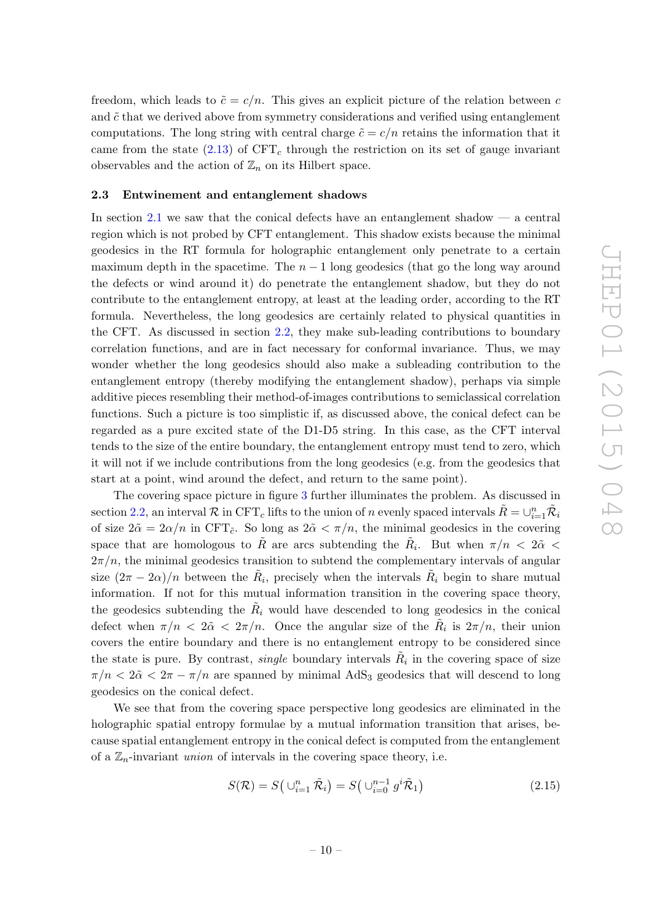freedom, which leads to  $\tilde{c} = c/n$ . This gives an explicit picture of the relation between c and  $\tilde{c}$  that we derived above from symmetry considerations and verified using entanglement computations. The long string with central charge  $\tilde{c} = c/n$  retains the information that it came from the state [\(2.13\)](#page-9-3) of  $CFT_c$  through the restriction on its set of gauge invariant observables and the action of  $\mathbb{Z}_n$  on its Hilbert space.

#### <span id="page-11-0"></span>2.3 Entwinement and entanglement shadows

In section [2.1](#page-4-1) we saw that the conical defects have an entanglement shadow  $\frac{1}{2}$  a central region which is not probed by CFT entanglement. This shadow exists because the minimal geodesics in the RT formula for holographic entanglement only penetrate to a certain maximum depth in the spacetime. The  $n-1$  long geodesics (that go the long way around the defects or wind around it) do penetrate the entanglement shadow, but they do not contribute to the entanglement entropy, at least at the leading order, according to the RT formula. Nevertheless, the long geodesics are certainly related to physical quantities in the CFT. As discussed in section [2.2,](#page-6-0) they make sub-leading contributions to boundary correlation functions, and are in fact necessary for conformal invariance. Thus, we may wonder whether the long geodesics should also make a subleading contribution to the entanglement entropy (thereby modifying the entanglement shadow), perhaps via simple additive pieces resembling their method-of-images contributions to semiclassical correlation functions. Such a picture is too simplistic if, as discussed above, the conical defect can be regarded as a pure excited state of the D1-D5 string. In this case, as the CFT interval tends to the size of the entire boundary, the entanglement entropy must tend to zero, which it will not if we include contributions from the long geodesics (e.g. from the geodesics that start at a point, wind around the defect, and return to the same point).

The covering space picture in figure [3](#page-8-0) further illuminates the problem. As discussed in section [2.2,](#page-6-0) an interval R in CFT<sub>c</sub> lifts to the union of n evenly spaced intervals  $\tilde{R} = \cup_{i=1}^n \tilde{\mathcal{R}}_i$ of size  $2\tilde{\alpha} = 2\alpha/n$  in CFT<sub>c</sub>. So long as  $2\tilde{\alpha} < \pi/n$ , the minimal geodesics in the covering space that are homologous to  $\tilde{R}$  are arcs subtending the  $\tilde{R}_i$ . But when  $\pi/n$  <  $2\tilde{\alpha}$  <  $2\pi/n$ , the minimal geodesics transition to subtend the complementary intervals of angular size  $(2\pi - 2\alpha)/n$  between the  $R_i$ , precisely when the intervals  $\tilde{R}_i$  begin to share mutual information. If not for this mutual information transition in the covering space theory, the geodesics subtending the  $R_i$  would have descended to long geodesics in the conical defect when  $\pi/n < 2\tilde{\alpha} < 2\pi/n$ . Once the angular size of the  $R_i$  is  $2\pi/n$ , their union covers the entire boundary and there is no entanglement entropy to be considered since the state is pure. By contrast, *single* boundary intervals  $R_i$  in the covering space of size  $\pi/n < 2\tilde{\alpha} < 2\pi - \pi/n$  are spanned by minimal AdS<sub>3</sub> geodesics that will descend to long geodesics on the conical defect.

We see that from the covering space perspective long geodesics are eliminated in the holographic spatial entropy formulae by a mutual information transition that arises, because spatial entanglement entropy in the conical defect is computed from the entanglement of a  $\mathbb{Z}_n$ -invariant *union* of intervals in the covering space theory, i.e.

$$
S(\mathcal{R}) = S\left(\bigcup_{i=1}^{n} \tilde{\mathcal{R}}_i\right) = S\left(\bigcup_{i=0}^{n-1} g^i \tilde{\mathcal{R}}_1\right) \tag{2.15}
$$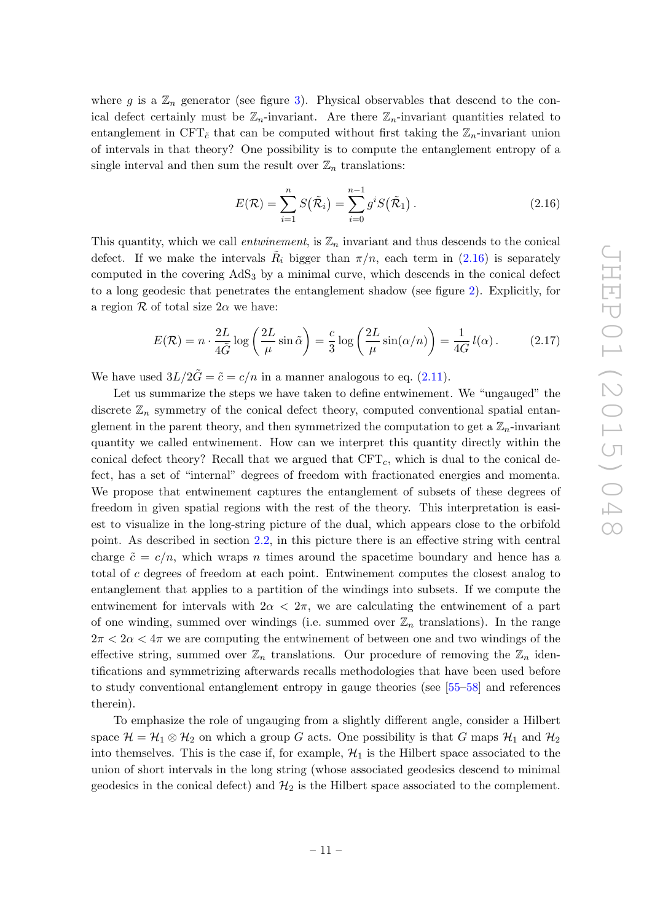where g is a  $\mathbb{Z}_n$  generator (see figure [3\)](#page-8-0). Physical observables that descend to the conical defect certainly must be  $\mathbb{Z}_n$ -invariant. Are there  $\mathbb{Z}_n$ -invariant quantities related to entanglement in CFT<sub>c</sub><sup>\*</sup> that can be computed without first taking the  $\mathbb{Z}_n$ -invariant union of intervals in that theory? One possibility is to compute the entanglement entropy of a single interval and then sum the result over  $\mathbb{Z}_n$  translations:

<span id="page-12-0"></span>
$$
E(\mathcal{R}) = \sum_{i=1}^{n} S(\tilde{\mathcal{R}}_i) = \sum_{i=0}^{n-1} g^i S(\tilde{\mathcal{R}}_1).
$$
 (2.16)

This quantity, which we call *entwinement*, is  $\mathbb{Z}_n$  invariant and thus descends to the conical defect. If we make the intervals  $R_i$  bigger than  $\pi/n$ , each term in [\(2.16\)](#page-12-0) is separately computed in the covering  $AdS<sub>3</sub>$  by a minimal curve, which descends in the conical defect to a long geodesic that penetrates the entanglement shadow (see figure [2\)](#page-5-1). Explicitly, for a region  $\mathcal R$  of total size  $2\alpha$  we have:

<span id="page-12-1"></span>
$$
E(\mathcal{R}) = n \cdot \frac{2L}{4\tilde{G}} \log \left( \frac{2L}{\mu} \sin \tilde{\alpha} \right) = \frac{c}{3} \log \left( \frac{2L}{\mu} \sin(\alpha/n) \right) = \frac{1}{4G} l(\alpha). \tag{2.17}
$$

We have used  $3L/2\tilde{G} = \tilde{c} = c/n$  in a manner analogous to eq. [\(2.11\)](#page-9-2).

Let us summarize the steps we have taken to define entwinement. We "ungauged" the discrete  $\mathbb{Z}_n$  symmetry of the conical defect theory, computed conventional spatial entanglement in the parent theory, and then symmetrized the computation to get a  $\mathbb{Z}_n$ -invariant quantity we called entwinement. How can we interpret this quantity directly within the conical defect theory? Recall that we argued that  $CFT_c$ , which is dual to the conical defect, has a set of "internal" degrees of freedom with fractionated energies and momenta. We propose that entwinement captures the entanglement of subsets of these degrees of freedom in given spatial regions with the rest of the theory. This interpretation is easiest to visualize in the long-string picture of the dual, which appears close to the orbifold point. As described in section [2.2,](#page-6-0) in this picture there is an effective string with central charge  $\tilde{c} = c/n$ , which wraps n times around the spacetime boundary and hence has a total of c degrees of freedom at each point. Entwinement computes the closest analog to entanglement that applies to a partition of the windings into subsets. If we compute the entwinement for intervals with  $2\alpha < 2\pi$ , we are calculating the entwinement of a part of one winding, summed over windings (i.e. summed over  $\mathbb{Z}_n$  translations). In the range  $2\pi < 2\alpha < 4\pi$  we are computing the entwinement of between one and two windings of the effective string, summed over  $\mathbb{Z}_n$  translations. Our procedure of removing the  $\mathbb{Z}_n$  identifications and symmetrizing afterwards recalls methodologies that have been used before to study conventional entanglement entropy in gauge theories (see [\[55](#page-22-5)[–58\]](#page-22-6) and references therein).

To emphasize the role of ungauging from a slightly different angle, consider a Hilbert space  $\mathcal{H} = \mathcal{H}_1 \otimes \mathcal{H}_2$  on which a group G acts. One possibility is that G maps  $\mathcal{H}_1$  and  $\mathcal{H}_2$ into themselves. This is the case if, for example,  $\mathcal{H}_1$  is the Hilbert space associated to the union of short intervals in the long string (whose associated geodesics descend to minimal geodesics in the conical defect) and  $\mathcal{H}_2$  is the Hilbert space associated to the complement.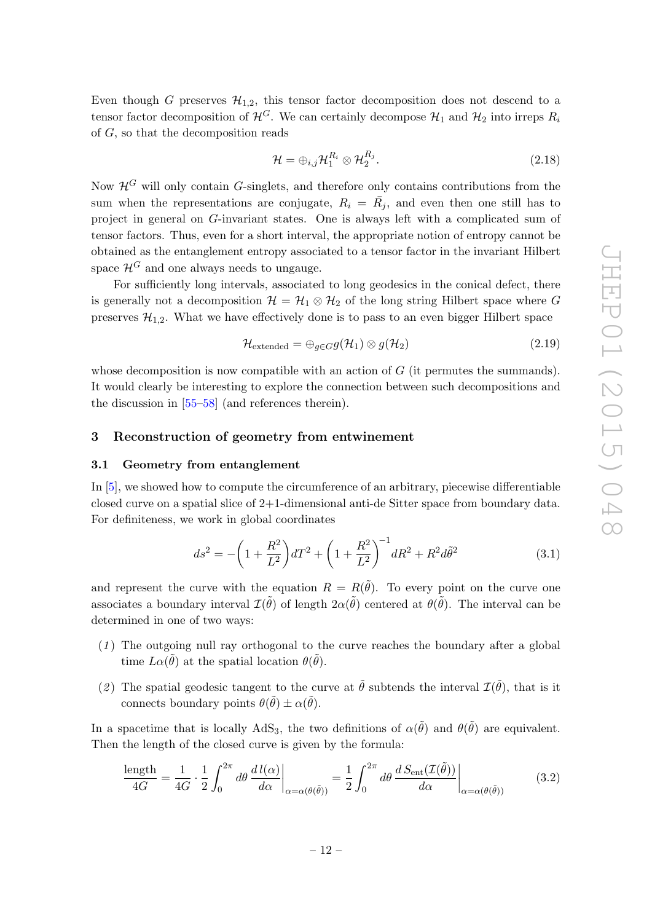Even though G preserves  $\mathcal{H}_{1,2}$ , this tensor factor decomposition does not descend to a tensor factor decomposition of  $\mathcal{H}^G$ . We can certainly decompose  $\mathcal{H}_1$  and  $\mathcal{H}_2$  into irreps  $R_i$ of G, so that the decomposition reads

$$
\mathcal{H} = \bigoplus_{i,j} \mathcal{H}_1^{R_i} \otimes \mathcal{H}_2^{R_j}.
$$
\n(2.18)

Now  $\mathcal{H}^G$  will only contain G-singlets, and therefore only contains contributions from the sum when the representations are conjugate,  $R_i = \overline{R}_j$ , and even then one still has to project in general on G-invariant states. One is always left with a complicated sum of tensor factors. Thus, even for a short interval, the appropriate notion of entropy cannot be obtained as the entanglement entropy associated to a tensor factor in the invariant Hilbert space  $\mathcal{H}^G$  and one always needs to ungauge.

For sufficiently long intervals, associated to long geodesics in the conical defect, there is generally not a decomposition  $\mathcal{H} = \mathcal{H}_1 \otimes \mathcal{H}_2$  of the long string Hilbert space where G preserves  $\mathcal{H}_{1,2}$ . What we have effectively done is to pass to an even bigger Hilbert space

$$
\mathcal{H}_{\text{extended}} = \bigoplus_{g \in G} g(\mathcal{H}_1) \otimes g(\mathcal{H}_2) \tag{2.19}
$$

whose decomposition is now compatible with an action of  $G$  (it permutes the summands). It would clearly be interesting to explore the connection between such decompositions and the discussion in [\[55](#page-22-5)[–58\]](#page-22-6) (and references therein).

# <span id="page-13-0"></span>3 Reconstruction of geometry from entwinement

## <span id="page-13-1"></span>3.1 Geometry from entanglement

In [\[5\]](#page-19-5), we showed how to compute the circumference of an arbitrary, piecewise differentiable closed curve on a spatial slice of 2+1-dimensional anti-de Sitter space from boundary data. For definiteness, we work in global coordinates

$$
ds^{2} = -\left(1 + \frac{R^{2}}{L^{2}}\right)dT^{2} + \left(1 + \frac{R^{2}}{L^{2}}\right)^{-1}dR^{2} + R^{2}d\tilde{\theta}^{2}
$$
\n(3.1)

and represent the curve with the equation  $R = R(\tilde{\theta})$ . To every point on the curve one associates a boundary interval  $\mathcal{I}(\tilde{\theta})$  of length  $2\alpha(\tilde{\theta})$  centered at  $\theta(\tilde{\theta})$ . The interval can be determined in one of two ways:

- $(1)$  The outgoing null ray orthogonal to the curve reaches the boundary after a global time  $L\alpha(\tilde{\theta})$  at the spatial location  $\theta(\tilde{\theta})$ .
- (2) The spatial geodesic tangent to the curve at  $\tilde{\theta}$  subtends the interval  $\mathcal{I}(\tilde{\theta})$ , that is it connects boundary points  $\theta(\tilde{\theta}) \pm \alpha(\tilde{\theta})$ .

In a spacetime that is locally AdS<sub>3</sub>, the two definitions of  $\alpha(\tilde{\theta})$  and  $\theta(\tilde{\theta})$  are equivalent. Then the length of the closed curve is given by the formula:

<span id="page-13-2"></span>
$$
\frac{\text{length}}{4G} = \frac{1}{4G} \cdot \frac{1}{2} \int_0^{2\pi} d\theta \, \frac{d\,l(\alpha)}{d\alpha} \bigg|_{\alpha = \alpha(\theta(\tilde{\theta}))} = \frac{1}{2} \int_0^{2\pi} d\theta \, \frac{d\,S_{\text{ent}}(\mathcal{I}(\tilde{\theta}))}{d\alpha} \bigg|_{\alpha = \alpha(\theta(\tilde{\theta}))}
$$
(3.2)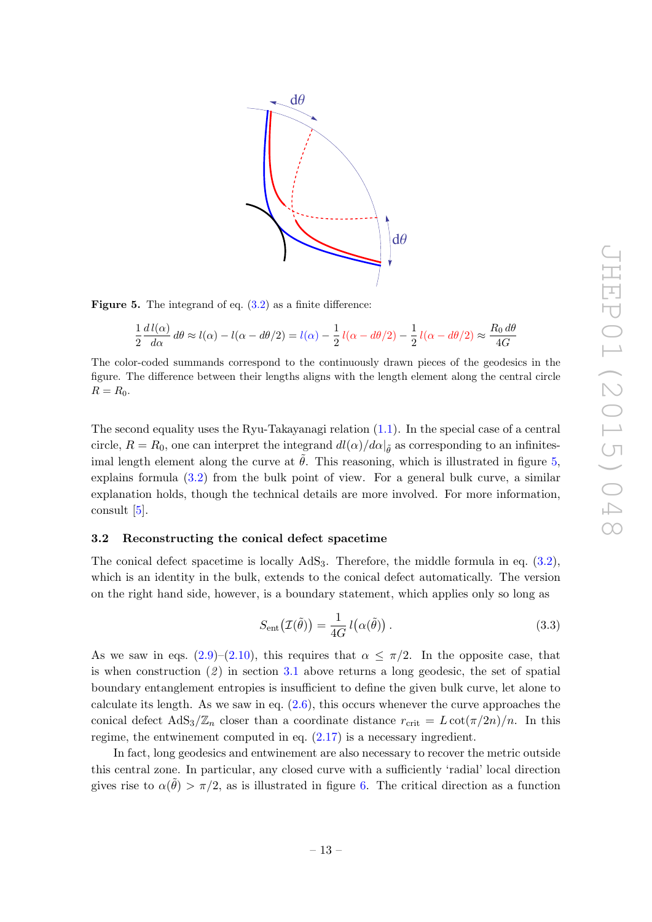<span id="page-14-1"></span>

Figure 5. The integrand of eq.  $(3.2)$  as a finite difference:

$$
\frac{1}{2}\frac{d\,l(\alpha)}{d\alpha}\,d\theta\approx l(\alpha)-l(\alpha-d\theta/2)=l(\alpha)-\frac{1}{2}\,l(\alpha-d\theta/2)-\frac{1}{2}\,l(\alpha-d\theta/2)\approx\frac{R_0\,d\theta}{4G}
$$

The color-coded summands correspond to the continuously drawn pieces of the geodesics in the figure. The difference between their lengths aligns with the length element along the central circle  $R = R_0$ .

The second equality uses the Ryu-Takayanagi relation [\(1.1\)](#page-2-3). In the special case of a central circle,  $R = R_0$ , one can interpret the integrand  $dl(\alpha)/d\alpha|_{\tilde{\theta}}$  as corresponding to an infinitesimal length element along the curve at  $\theta$ . This reasoning, which is illustrated in figure [5,](#page-14-1) explains formula [\(3.2\)](#page-13-2) from the bulk point of view. For a general bulk curve, a similar explanation holds, though the technical details are more involved. For more information, consult  $[5]$ .

#### <span id="page-14-0"></span>3.2 Reconstructing the conical defect spacetime

The conical defect spacetime is locally  $AdS_3$ . Therefore, the middle formula in eq.  $(3.2)$ , which is an identity in the bulk, extends to the conical defect automatically. The version on the right hand side, however, is a boundary statement, which applies only so long as

$$
S_{\text{ent}}(\mathcal{I}(\tilde{\theta})) = \frac{1}{4G} l(\alpha(\tilde{\theta})).
$$
\n(3.3)

As we saw in eqs.  $(2.9)$ – $(2.10)$ , this requires that  $\alpha \leq \pi/2$ . In the opposite case, that is when construction  $(2)$  in section [3.1](#page-13-1) above returns a long geodesic, the set of spatial boundary entanglement entropies is insufficient to define the given bulk curve, let alone to calculate its length. As we saw in eq.  $(2.6)$ , this occurs whenever the curve approaches the conical defect  $AdS_3/\mathbb{Z}_n$  closer than a coordinate distance  $r_{\text{crit}} = L \cot(\pi/2n)/n$ . In this regime, the entwinement computed in eq.  $(2.17)$  is a necessary ingredient.

In fact, long geodesics and entwinement are also necessary to recover the metric outside this central zone. In particular, any closed curve with a sufficiently 'radial' local direction gives rise to  $\alpha(\tilde{\theta}) > \pi/2$ , as is illustrated in figure [6.](#page-15-0) The critical direction as a function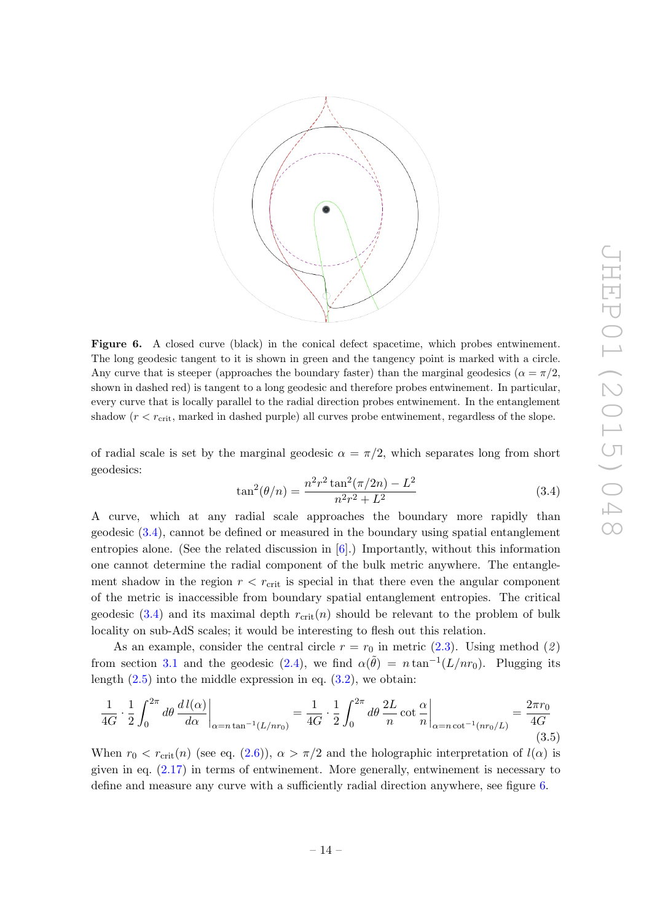<span id="page-15-0"></span>

Figure 6. A closed curve (black) in the conical defect spacetime, which probes entwinement. The long geodesic tangent to it is shown in green and the tangency point is marked with a circle. Any curve that is steeper (approaches the boundary faster) than the marginal geodesics ( $\alpha = \pi/2$ , shown in dashed red) is tangent to a long geodesic and therefore probes entwinement. In particular, every curve that is locally parallel to the radial direction probes entwinement. In the entanglement shadow  $(r < r_{\text{crit}})$ , marked in dashed purple) all curves probe entwinement, regardless of the slope.

of radial scale is set by the marginal geodesic  $\alpha = \pi/2$ , which separates long from short geodesics:

<span id="page-15-1"></span>
$$
\tan^2(\theta/n) = \frac{n^2r^2\tan^2(\pi/2n) - L^2}{n^2r^2 + L^2}
$$
\n(3.4)

A curve, which at any radial scale approaches the boundary more rapidly than geodesic [\(3.4\)](#page-15-1), cannot be defined or measured in the boundary using spatial entanglement entropies alone. (See the related discussion in  $[6]$ .) Importantly, without this information one cannot determine the radial component of the bulk metric anywhere. The entanglement shadow in the region  $r < r_{\text{crit}}$  is special in that there even the angular component of the metric is inaccessible from boundary spatial entanglement entropies. The critical geodesic [\(3.4\)](#page-15-1) and its maximal depth  $r_{\text{crit}}(n)$  should be relevant to the problem of bulk locality on sub-AdS scales; it would be interesting to flesh out this relation.

As an example, consider the central circle  $r = r_0$  in metric [\(2.3\)](#page-5-2). Using method (2) from section [3.1](#page-13-1) and the geodesic [\(2.4\)](#page-5-3), we find  $\alpha(\tilde{\theta}) = n \tan^{-1}(L/nr_0)$ . Plugging its length  $(2.5)$  into the middle expression in eq.  $(3.2)$ , we obtain:

<span id="page-15-2"></span>
$$
\frac{1}{4G} \cdot \frac{1}{2} \int_0^{2\pi} d\theta \, \frac{d l(\alpha)}{d\alpha} \bigg|_{\alpha = n \tan^{-1}(L/nr_0)} = \frac{1}{4G} \cdot \frac{1}{2} \int_0^{2\pi} d\theta \, \frac{2L}{n} \cot \frac{\alpha}{n} \bigg|_{\alpha = n \cot^{-1}(nr_0/L)} = \frac{2\pi r_0}{4G} \tag{3.5}
$$

When  $r_0 < r_{\rm crit}(n)$  (see eq. [\(2.6\)](#page-6-3)),  $\alpha > \pi/2$  and the holographic interpretation of  $l(\alpha)$  is given in eq.  $(2.17)$  in terms of entwinement. More generally, entwinement is necessary to define and measure any curve with a sufficiently radial direction anywhere, see figure [6.](#page-15-0)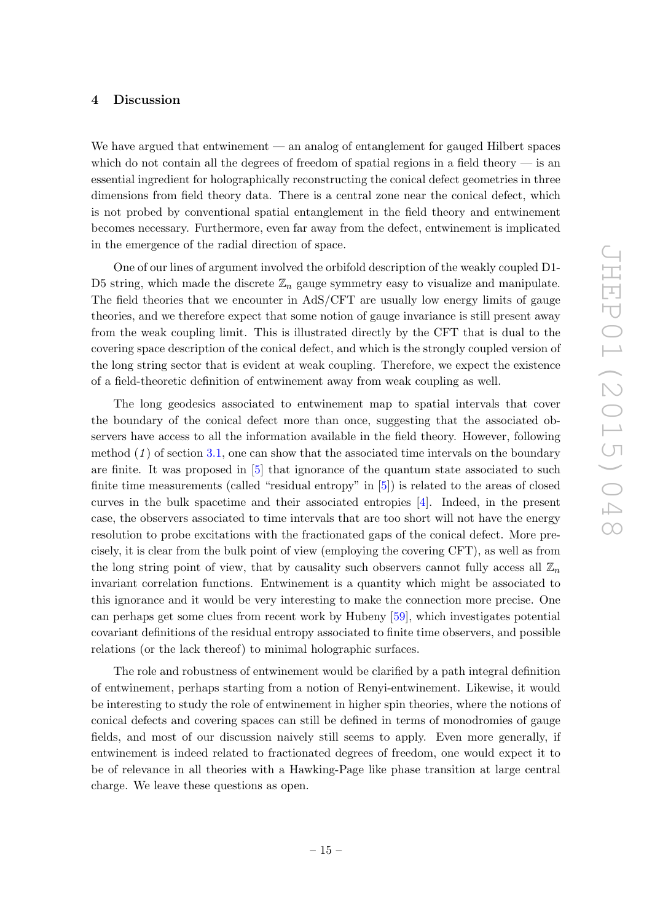### <span id="page-16-0"></span>4 Discussion

We have argued that entwinement — an analog of entanglement for gauged Hilbert spaces which do not contain all the degrees of freedom of spatial regions in a field theory  $-$  is an essential ingredient for holographically reconstructing the conical defect geometries in three dimensions from field theory data. There is a central zone near the conical defect, which is not probed by conventional spatial entanglement in the field theory and entwinement becomes necessary. Furthermore, even far away from the defect, entwinement is implicated in the emergence of the radial direction of space.

One of our lines of argument involved the orbifold description of the weakly coupled D1- D5 string, which made the discrete  $\mathbb{Z}_n$  gauge symmetry easy to visualize and manipulate. The field theories that we encounter in AdS/CFT are usually low energy limits of gauge theories, and we therefore expect that some notion of gauge invariance is still present away from the weak coupling limit. This is illustrated directly by the CFT that is dual to the covering space description of the conical defect, and which is the strongly coupled version of the long string sector that is evident at weak coupling. Therefore, we expect the existence of a field-theoretic definition of entwinement away from weak coupling as well.

The long geodesics associated to entwinement map to spatial intervals that cover the boundary of the conical defect more than once, suggesting that the associated observers have access to all the information available in the field theory. However, following method  $(1)$  of section [3.1,](#page-13-1) one can show that the associated time intervals on the boundary are finite. It was proposed in [\[5\]](#page-19-5) that ignorance of the quantum state associated to such finite time measurements (called "residual entropy" in [\[5\]](#page-19-5)) is related to the areas of closed curves in the bulk spacetime and their associated entropies [\[4\]](#page-19-2). Indeed, in the present case, the observers associated to time intervals that are too short will not have the energy resolution to probe excitations with the fractionated gaps of the conical defect. More precisely, it is clear from the bulk point of view (employing the covering CFT), as well as from the long string point of view, that by causality such observers cannot fully access all  $\mathbb{Z}_n$ invariant correlation functions. Entwinement is a quantity which might be associated to this ignorance and it would be very interesting to make the connection more precise. One can perhaps get some clues from recent work by Hubeny [\[59\]](#page-22-7), which investigates potential covariant definitions of the residual entropy associated to finite time observers, and possible relations (or the lack thereof) to minimal holographic surfaces.

The role and robustness of entwinement would be clarified by a path integral definition of entwinement, perhaps starting from a notion of Renyi-entwinement. Likewise, it would be interesting to study the role of entwinement in higher spin theories, where the notions of conical defects and covering spaces can still be defined in terms of monodromies of gauge fields, and most of our discussion naively still seems to apply. Even more generally, if entwinement is indeed related to fractionated degrees of freedom, one would expect it to be of relevance in all theories with a Hawking-Page like phase transition at large central charge. We leave these questions as open.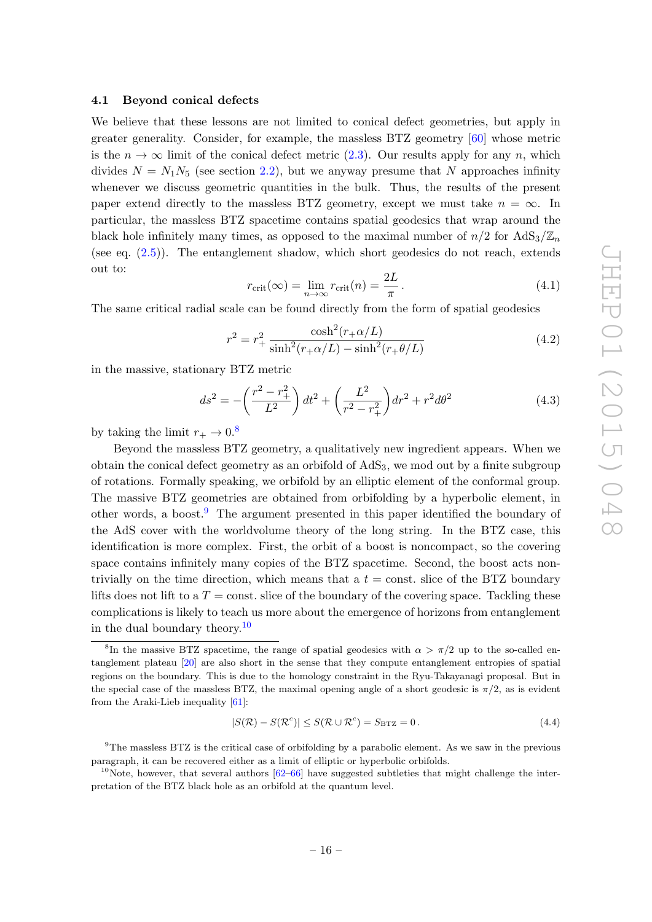#### <span id="page-17-0"></span>4.1 Beyond conical defects

We believe that these lessons are not limited to conical defect geometries, but apply in greater generality. Consider, for example, the massless BTZ geometry [\[60\]](#page-22-8) whose metric is the  $n \to \infty$  limit of the conical defect metric [\(2.3\)](#page-5-2). Our results apply for any n, which divides  $N = N_1N_5$  (see section [2.2\)](#page-6-0), but we anyway presume that N approaches infinity whenever we discuss geometric quantities in the bulk. Thus, the results of the present paper extend directly to the massless BTZ geometry, except we must take  $n = \infty$ . In particular, the massless BTZ spacetime contains spatial geodesics that wrap around the black hole infinitely many times, as opposed to the maximal number of  $n/2$  for  $AdS_3/\mathbb{Z}_n$ (see eq. [\(2.5\)](#page-6-2)). The entanglement shadow, which short geodesics do not reach, extends out to:

$$
r_{\rm crit}(\infty) = \lim_{n \to \infty} r_{\rm crit}(n) = \frac{2L}{\pi}.
$$
\n(4.1)

The same critical radial scale can be found directly from the form of spatial geodesics

$$
r^{2} = r_{+}^{2} \frac{\cosh^{2}(r_{+}\alpha/L)}{\sinh^{2}(r_{+}\alpha/L) - \sinh^{2}(r_{+}\theta/L)}
$$
(4.2)

in the massive, stationary BTZ metric

$$
ds^{2} = -\left(\frac{r^{2} - r_{+}^{2}}{L^{2}}\right)dt^{2} + \left(\frac{L^{2}}{r^{2} - r_{+}^{2}}\right)dr^{2} + r^{2}d\theta^{2}
$$
\n(4.3)

by taking the limit  $r_{+} \rightarrow 0.8$  $r_{+} \rightarrow 0.8$ 

Beyond the massless BTZ geometry, a qualitatively new ingredient appears. When we obtain the conical defect geometry as an orbifold of  $AdS<sub>3</sub>$ , we mod out by a finite subgroup of rotations. Formally speaking, we orbifold by an elliptic element of the conformal group. The massive BTZ geometries are obtained from orbifolding by a hyperbolic element, in other words, a boost.<sup>[9](#page-17-2)</sup> The argument presented in this paper identified the boundary of the AdS cover with the worldvolume theory of the long string. In the BTZ case, this identification is more complex. First, the orbit of a boost is noncompact, so the covering space contains infinitely many copies of the BTZ spacetime. Second, the boost acts nontrivially on the time direction, which means that a  $t = \text{const.}$  slice of the BTZ boundary lifts does not lift to a  $T = \text{const.}$  slice of the boundary of the covering space. Tackling these complications is likely to teach us more about the emergence of horizons from entanglement in the dual boundary theory.<sup>[10](#page-17-3)</sup>

$$
|S(\mathcal{R}) - S(\mathcal{R}^c)| \le S(\mathcal{R} \cup \mathcal{R}^c) = S_{\text{BTZ}} = 0.
$$
\n(4.4)

<span id="page-17-2"></span><sup>9</sup>The massless BTZ is the critical case of orbifolding by a parabolic element. As we saw in the previous paragraph, it can be recovered either as a limit of elliptic or hyperbolic orbifolds.

<span id="page-17-3"></span><sup>10</sup>Note, however, that several authors  $[62-66]$  $[62-66]$  have suggested subtleties that might challenge the interpretation of the BTZ black hole as an orbifold at the quantum level.

<span id="page-17-1"></span><sup>&</sup>lt;sup>8</sup>In the massive BTZ spacetime, the range of spatial geodesics with  $\alpha > \pi/2$  up to the so-called entanglement plateau [\[20\]](#page-20-7) are also short in the sense that they compute entanglement entropies of spatial regions on the boundary. This is due to the homology constraint in the Ryu-Takayanagi proposal. But in the special case of the massless BTZ, the maximal opening angle of a short geodesic is  $\pi/2$ , as is evident from the Araki-Lieb inequality [\[61\]](#page-22-9):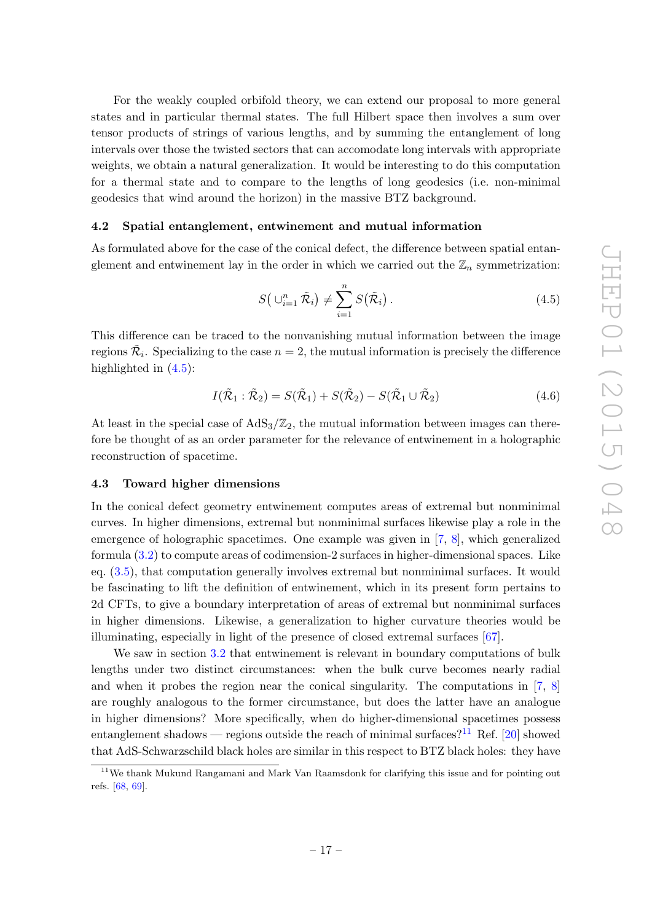For the weakly coupled orbifold theory, we can extend our proposal to more general states and in particular thermal states. The full Hilbert space then involves a sum over tensor products of strings of various lengths, and by summing the entanglement of long intervals over those the twisted sectors that can accomodate long intervals with appropriate weights, we obtain a natural generalization. It would be interesting to do this computation for a thermal state and to compare to the lengths of long geodesics (i.e. non-minimal geodesics that wind around the horizon) in the massive BTZ background.

#### <span id="page-18-0"></span>4.2 Spatial entanglement, entwinement and mutual information

As formulated above for the case of the conical defect, the difference between spatial entanglement and entwinement lay in the order in which we carried out the  $\mathbb{Z}_n$  symmetrization:

<span id="page-18-2"></span>
$$
S\left(\bigcup_{i=1}^{n} \tilde{\mathcal{R}}_{i}\right) \neq \sum_{i=1}^{n} S\left(\tilde{\mathcal{R}}_{i}\right). \tag{4.5}
$$

This difference can be traced to the nonvanishing mutual information between the image regions  $\tilde{\mathcal{R}}_i$ . Specializing to the case  $n=2,$  the mutual information is precisely the difference highlighted in  $(4.5)$ :

$$
I(\tilde{\mathcal{R}}_1 : \tilde{\mathcal{R}}_2) = S(\tilde{\mathcal{R}}_1) + S(\tilde{\mathcal{R}}_2) - S(\tilde{\mathcal{R}}_1 \cup \tilde{\mathcal{R}}_2)
$$
(4.6)

At least in the special case of  $AdS_3/\mathbb{Z}_2$ , the mutual information between images can therefore be thought of as an order parameter for the relevance of entwinement in a holographic reconstruction of spacetime.

## <span id="page-18-1"></span>4.3 Toward higher dimensions

In the conical defect geometry entwinement computes areas of extremal but nonminimal curves. In higher dimensions, extremal but nonminimal surfaces likewise play a role in the emergence of holographic spacetimes. One example was given in [\[7,](#page-19-7) [8\]](#page-19-3), which generalized formula [\(3.2\)](#page-13-2) to compute areas of codimension-2 surfaces in higher-dimensional spaces. Like eq. [\(3.5\)](#page-15-2), that computation generally involves extremal but nonminimal surfaces. It would be fascinating to lift the definition of entwinement, which in its present form pertains to 2d CFTs, to give a boundary interpretation of areas of extremal but nonminimal surfaces in higher dimensions. Likewise, a generalization to higher curvature theories would be illuminating, especially in light of the presence of closed extremal surfaces [\[67\]](#page-22-12).

We saw in section [3.2](#page-14-0) that entwinement is relevant in boundary computations of bulk lengths under two distinct circumstances: when the bulk curve becomes nearly radial and when it probes the region near the conical singularity. The computations in  $[7, 8]$  $[7, 8]$  $[7, 8]$ are roughly analogous to the former circumstance, but does the latter have an analogue in higher dimensions? More specifically, when do higher-dimensional spacetimes possess entanglement shadows — regions outside the reach of minimal surfaces?<sup>[11](#page-18-3)</sup> Ref. [\[20\]](#page-20-7) showed that AdS-Schwarzschild black holes are similar in this respect to BTZ black holes: they have

<span id="page-18-3"></span><sup>&</sup>lt;sup>11</sup>We thank Mukund Rangamani and Mark Van Raamsdonk for clarifying this issue and for pointing out refs. [\[68,](#page-22-13) [69\]](#page-22-14).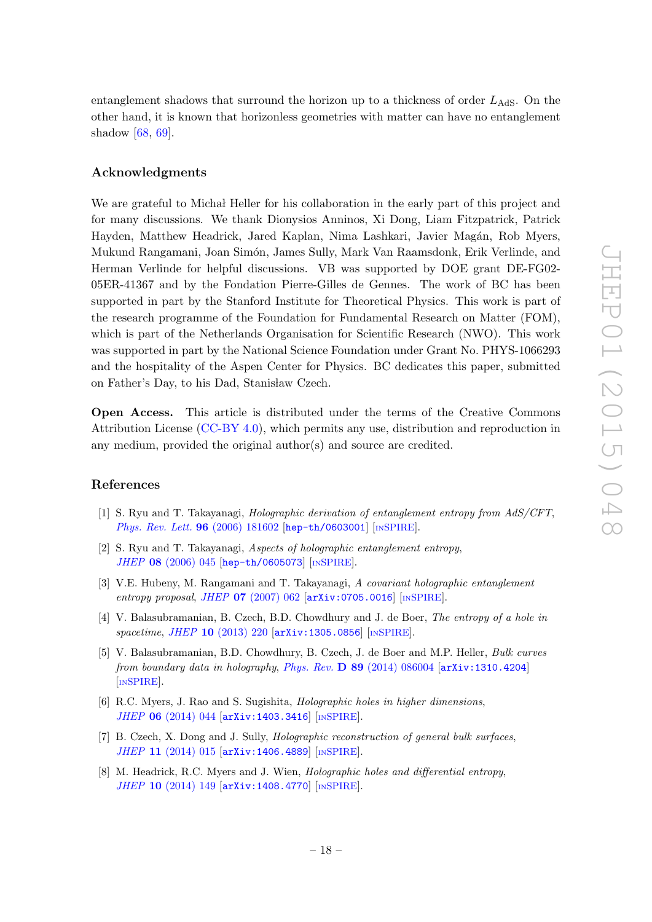entanglement shadows that surround the horizon up to a thickness of order  $L_{\text{AdS}}$ . On the other hand, it is known that horizonless geometries with matter can have no entanglement shadow [\[68,](#page-22-13) [69\]](#page-22-14).

# Acknowledgments

We are grateful to Micha Heller for his collaboration in the early part of this project and for many discussions. We thank Dionysios Anninos, Xi Dong, Liam Fitzpatrick, Patrick Hayden, Matthew Headrick, Jared Kaplan, Nima Lashkari, Javier Magán, Rob Myers, Mukund Rangamani, Joan Simón, James Sully, Mark Van Raamsdonk, Erik Verlinde, and Herman Verlinde for helpful discussions. VB was supported by DOE grant DE-FG02- 05ER-41367 and by the Fondation Pierre-Gilles de Gennes. The work of BC has been supported in part by the Stanford Institute for Theoretical Physics. This work is part of the research programme of the Foundation for Fundamental Research on Matter (FOM), which is part of the Netherlands Organisation for Scientific Research (NWO). This work was supported in part by the National Science Foundation under Grant No. PHYS-1066293 and the hospitality of the Aspen Center for Physics. BC dedicates this paper, submitted on Father's Day, to his Dad, Stanisław Czech.

Open Access. This article is distributed under the terms of the Creative Commons Attribution License [\(CC-BY 4.0\)](http://creativecommons.org/licenses/by/4.0/), which permits any use, distribution and reproduction in any medium, provided the original author(s) and source are credited.

# References

- <span id="page-19-0"></span>[1] S. Ryu and T. Takayanagi, Holographic derivation of entanglement entropy from AdS/CFT, [Phys. Rev. Lett.](http://dx.doi.org/10.1103/PhysRevLett.96.181602) 96 (2006) 181602 [[hep-th/0603001](http://arxiv.org/abs/hep-th/0603001)] [IN[SPIRE](http://inspirehep.net/search?p=find+EPRINT+hep-th/0603001)].
- <span id="page-19-1"></span>[2] S. Ryu and T. Takayanagi, Aspects of holographic entanglement entropy, JHEP 08 [\(2006\) 045](http://dx.doi.org/10.1088/1126-6708/2006/08/045) [[hep-th/0605073](http://arxiv.org/abs/hep-th/0605073)] [IN[SPIRE](http://inspirehep.net/search?p=find+EPRINT+hep-th/0605073)].
- <span id="page-19-4"></span>[3] V.E. Hubeny, M. Rangamani and T. Takayanagi, A covariant holographic entanglement entropy proposal, JHEP 07 [\(2007\) 062](http://dx.doi.org/10.1088/1126-6708/2007/07/062) [[arXiv:0705.0016](http://arxiv.org/abs/0705.0016)] [IN[SPIRE](http://inspirehep.net/search?p=find+EPRINT+arXiv:0705.0016)].
- <span id="page-19-2"></span>[4] V. Balasubramanian, B. Czech, B.D. Chowdhury and J. de Boer, *The entropy of a hole in* spacetime, JHEP 10 [\(2013\) 220](http://dx.doi.org/10.1007/JHEP10(2013)220) [[arXiv:1305.0856](http://arxiv.org/abs/1305.0856)] [IN[SPIRE](http://inspirehep.net/search?p=find+EPRINT+arXiv:1305.0856)].
- <span id="page-19-5"></span>[5] V. Balasubramanian, B.D. Chowdhury, B. Czech, J. de Boer and M.P. Heller, Bulk curves from boundary data in holography, Phys. Rev. D 89 [\(2014\) 086004](http://dx.doi.org/10.1103/PhysRevD.89.086004) [[arXiv:1310.4204](http://arxiv.org/abs/1310.4204)] [IN[SPIRE](http://inspirehep.net/search?p=find+EPRINT+arXiv:1310.4204)].
- <span id="page-19-6"></span>[6] R.C. Myers, J. Rao and S. Sugishita, *Holographic holes in higher dimensions*, JHEP 06 [\(2014\) 044](http://dx.doi.org/10.1007/JHEP06(2014)044) [[arXiv:1403.3416](http://arxiv.org/abs/1403.3416)] [IN[SPIRE](http://inspirehep.net/search?p=find+EPRINT+arXiv:1403.3416)].
- <span id="page-19-7"></span>[7] B. Czech, X. Dong and J. Sully, Holographic reconstruction of general bulk surfaces, JHEP 11 [\(2014\) 015](http://dx.doi.org/10.1007/JHEP11(2014)015) [[arXiv:1406.4889](http://arxiv.org/abs/1406.4889)] [IN[SPIRE](http://inspirehep.net/search?p=find+EPRINT+arXiv:1406.4889)].
- <span id="page-19-3"></span>[8] M. Headrick, R.C. Myers and J. Wien, Holographic holes and differential entropy, JHEP 10 [\(2014\) 149](http://dx.doi.org/10.1007/JHEP10(2014)149) [[arXiv:1408.4770](http://arxiv.org/abs/1408.4770)] [IN[SPIRE](http://inspirehep.net/search?p=find+EPRINT+arXiv:1408.4770)].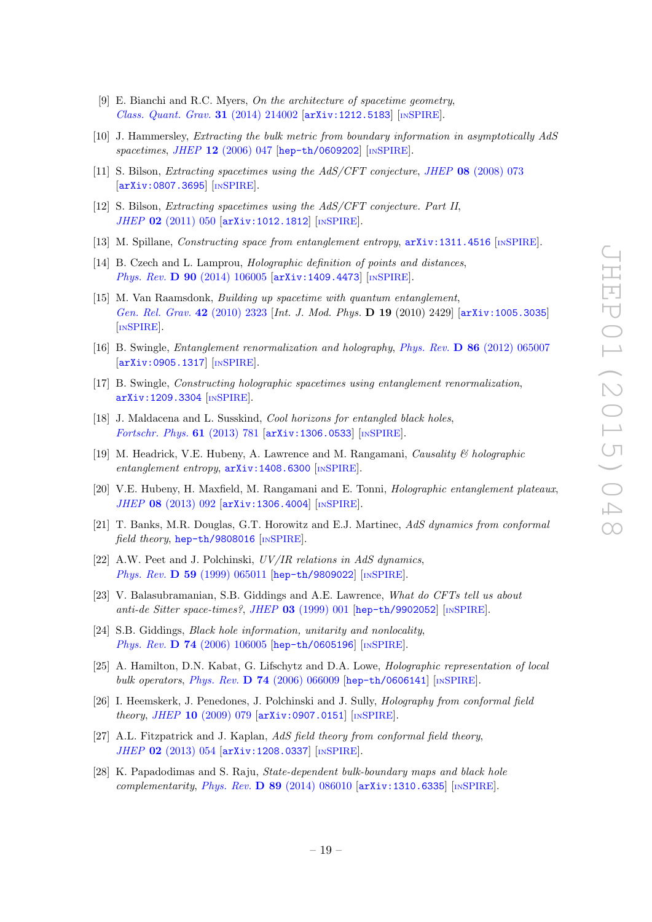- <span id="page-20-2"></span>[9] E. Bianchi and R.C. Myers, On the architecture of spacetime geometry, [Class. Quant. Grav.](http://dx.doi.org/10.1088/0264-9381/31/21/214002) 31 (2014) 214002 [[arXiv:1212.5183](http://arxiv.org/abs/1212.5183)] [IN[SPIRE](http://inspirehep.net/search?p=find+EPRINT+arXiv:1212.5183)].
- <span id="page-20-0"></span>[10] J. Hammersley, Extracting the bulk metric from boundary information in asymptotically AdS spacetimes, JHEP 12 [\(2006\) 047](http://dx.doi.org/10.1088/1126-6708/2006/12/047) [[hep-th/0609202](http://arxiv.org/abs/hep-th/0609202)] [IN[SPIRE](http://inspirehep.net/search?p=find+EPRINT+hep-th/0609202)].
- [11] S. Bilson, Extracting spacetimes using the AdS/CFT conjecture, JHEP 08 [\(2008\) 073](http://dx.doi.org/10.1088/1126-6708/2008/08/073)  $\begin{bmatrix} \texttt{arXiv:0807.3695} \end{bmatrix}$  $\begin{bmatrix} \texttt{arXiv:0807.3695} \end{bmatrix}$  $\begin{bmatrix} \texttt{arXiv:0807.3695} \end{bmatrix}$  [IN[SPIRE](http://inspirehep.net/search?p=find+EPRINT+arXiv:0807.3695)].
- [12] S. Bilson, Extracting spacetimes using the AdS/CFT conjecture. Part II, JHEP 02 [\(2011\) 050](http://dx.doi.org/10.1007/JHEP02(2011)050) [[arXiv:1012.1812](http://arxiv.org/abs/1012.1812)] [IN[SPIRE](http://inspirehep.net/search?p=find+EPRINT+arXiv:1012.1812)].
- [13] M. Spillane, *Constructing space from entanglement entropy*,  $arXiv:1311.4516$  [IN[SPIRE](http://inspirehep.net/search?p=find+EPRINT+arXiv:1311.4516)].
- <span id="page-20-1"></span>[14] B. Czech and L. Lamprou, Holographic definition of points and distances, Phys. Rev. D 90 [\(2014\) 106005](http://dx.doi.org/10.1103/PhysRevD.90.106005) [[arXiv:1409.4473](http://arxiv.org/abs/1409.4473)] [IN[SPIRE](http://inspirehep.net/search?p=find+EPRINT+arXiv:1409.4473)].
- <span id="page-20-3"></span>[15] M. Van Raamsdonk, Building up spacetime with quantum entanglement, [Gen. Rel. Grav.](http://dx.doi.org/10.1007/s10714-010-1034-0) 42 (2010) 2323 [Int. J. Mod. Phys. **D 19** (2010) 2429 [[arXiv:1005.3035](http://arxiv.org/abs/1005.3035)] [IN[SPIRE](http://inspirehep.net/search?p=find+EPRINT+arXiv:1005.3035)].
- [16] B. Swingle, Entanglement renormalization and holography, Phys. Rev. D 86 [\(2012\) 065007](http://dx.doi.org/10.1103/PhysRevD.86.065007) [[arXiv:0905.1317](http://arxiv.org/abs/0905.1317)] [IN[SPIRE](http://inspirehep.net/search?p=find+EPRINT+arXiv:0905.1317)].
- <span id="page-20-4"></span>[17] B. Swingle, Constructing holographic spacetimes using entanglement renormalization, [arXiv:1209.3304](http://arxiv.org/abs/1209.3304) [IN[SPIRE](http://inspirehep.net/search?p=find+EPRINT+arXiv:1209.3304)].
- <span id="page-20-5"></span>[18] J. Maldacena and L. Susskind, *Cool horizons for entangled black holes*, [Fortschr. Phys.](http://dx.doi.org/10.1002/prop.201300020) 61 (2013) 781 [[arXiv:1306.0533](http://arxiv.org/abs/1306.0533)] [IN[SPIRE](http://inspirehep.net/search?p=find+EPRINT+arXiv:1306.0533)].
- <span id="page-20-6"></span>[19] M. Headrick, V.E. Hubeny, A. Lawrence and M. Rangamani, Causality & holographic entanglement entropy,  $arXiv:1408.6300$  [IN[SPIRE](http://inspirehep.net/search?p=find+EPRINT+arXiv:1408.6300)].
- <span id="page-20-7"></span>[20] V.E. Hubeny, H. Maxfield, M. Rangamani and E. Tonni, Holographic entanglement plateaux, JHEP 08 [\(2013\) 092](http://dx.doi.org/10.1007/JHEP08(2013)092) [[arXiv:1306.4004](http://arxiv.org/abs/1306.4004)] [IN[SPIRE](http://inspirehep.net/search?p=find+EPRINT+arXiv:1306.4004)].
- <span id="page-20-8"></span>[21] T. Banks, M.R. Douglas, G.T. Horowitz and E.J. Martinec, AdS dynamics from conformal field theory, [hep-th/9808016](http://arxiv.org/abs/hep-th/9808016) [IN[SPIRE](http://inspirehep.net/search?p=find+EPRINT+hep-th/9808016)].
- [22] A.W. Peet and J. Polchinski,  $UV/IR$  relations in AdS dynamics. Phys. Rev. **D 59** [\(1999\) 065011](http://dx.doi.org/10.1103/PhysRevD.59.065011) [[hep-th/9809022](http://arxiv.org/abs/hep-th/9809022)] [IN[SPIRE](http://inspirehep.net/search?p=find+EPRINT+hep-th/9809022)].
- [23] V. Balasubramanian, S.B. Giddings and A.E. Lawrence, What do CFTs tell us about anti-de Sitter space-times?, JHEP 03 [\(1999\) 001](http://dx.doi.org/10.1088/1126-6708/1999/03/001) [[hep-th/9902052](http://arxiv.org/abs/hep-th/9902052)] [IN[SPIRE](http://inspirehep.net/search?p=find+EPRINT+hep-th/9902052)].
- [24] S.B. Giddings, *Black hole information, unitarity and nonlocality*, Phys. Rev. **D 74** [\(2006\) 106005](http://dx.doi.org/10.1103/PhysRevD.74.106005) [[hep-th/0605196](http://arxiv.org/abs/hep-th/0605196)] [IN[SPIRE](http://inspirehep.net/search?p=find+EPRINT+hep-th/0605196)].
- [25] A. Hamilton, D.N. Kabat, G. Lifschytz and D.A. Lowe, *Holographic representation of local* bulk operators, Phys. Rev. D  $74$  [\(2006\) 066009](http://dx.doi.org/10.1103/PhysRevD.74.066009) [[hep-th/0606141](http://arxiv.org/abs/hep-th/0606141)] [IN[SPIRE](http://inspirehep.net/search?p=find+EPRINT+hep-th/0606141)].
- [26] I. Heemskerk, J. Penedones, J. Polchinski and J. Sully, Holography from conformal field theory, JHEP 10 [\(2009\) 079](http://dx.doi.org/10.1088/1126-6708/2009/10/079) [[arXiv:0907.0151](http://arxiv.org/abs/0907.0151)] [IN[SPIRE](http://inspirehep.net/search?p=find+EPRINT+arXiv:0907.0151)].
- [27] A.L. Fitzpatrick and J. Kaplan, AdS field theory from conformal field theory, JHEP 02 [\(2013\) 054](http://dx.doi.org/10.1007/JHEP02(2013)054) [[arXiv:1208.0337](http://arxiv.org/abs/1208.0337)] [IN[SPIRE](http://inspirehep.net/search?p=find+EPRINT+arXiv:1208.0337)].
- <span id="page-20-9"></span>[28] K. Papadodimas and S. Raju, State-dependent bulk-boundary maps and black hole complementarity, Phys. Rev. D 89 [\(2014\) 086010](http://dx.doi.org/10.1103/PhysRevD.89.086010)  $arXiv:1310.6335$  [IN[SPIRE](http://inspirehep.net/search?p=find+EPRINT+arXiv:1310.6335)].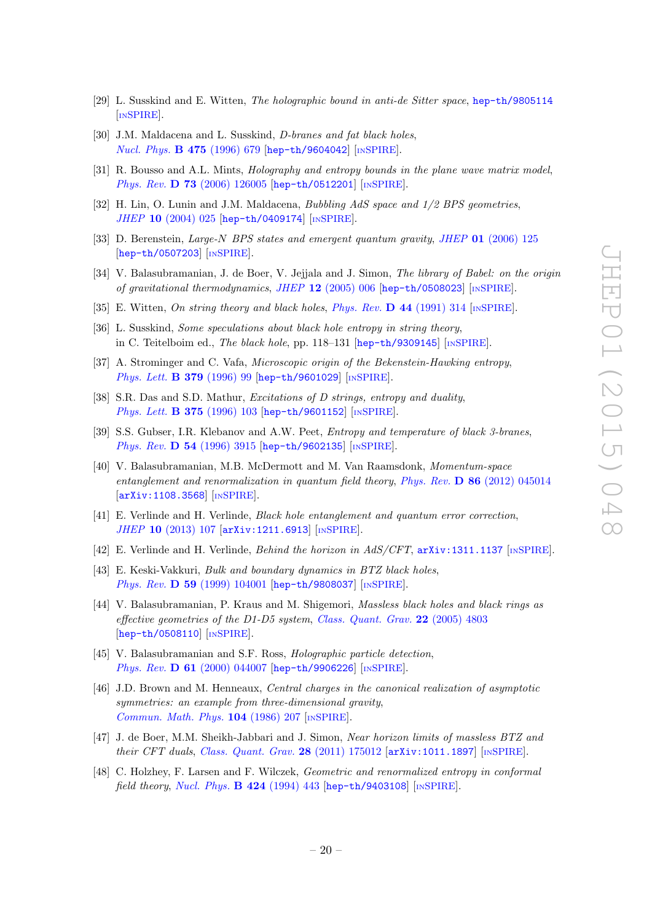- <span id="page-21-0"></span>[29] L. Susskind and E. Witten, The holographic bound in anti-de Sitter space, [hep-th/9805114](http://arxiv.org/abs/hep-th/9805114) [IN[SPIRE](http://inspirehep.net/search?p=find+EPRINT+hep-th/9805114)].
- <span id="page-21-1"></span>[30] J.M. Maldacena and L. Susskind, *D-branes and fat black holes*, [Nucl. Phys.](http://dx.doi.org/10.1016/0550-3213(96)00323-9) **B 475** (1996) 679 [[hep-th/9604042](http://arxiv.org/abs/hep-th/9604042)] [IN[SPIRE](http://inspirehep.net/search?p=find+EPRINT+hep-th/9604042)].
- <span id="page-21-2"></span>[31] R. Bousso and A.L. Mints, *Holography and entropy bounds in the plane wave matrix model*, Phys. Rev. D 73 [\(2006\) 126005](http://dx.doi.org/10.1103/PhysRevD.73.126005) [[hep-th/0512201](http://arxiv.org/abs/hep-th/0512201)] [IN[SPIRE](http://inspirehep.net/search?p=find+EPRINT+hep-th/0512201)].
- <span id="page-21-3"></span>[32] H. Lin, O. Lunin and J.M. Maldacena, Bubbling AdS space and  $1/2$  BPS geometries, JHEP 10 [\(2004\) 025](http://dx.doi.org/10.1088/1126-6708/2004/10/025) [[hep-th/0409174](http://arxiv.org/abs/hep-th/0409174)] [IN[SPIRE](http://inspirehep.net/search?p=find+EPRINT+hep-th/0409174)].
- [33] D. Berenstein, Large-N BPS states and emergent quantum gravity, JHEP 01 [\(2006\) 125](http://dx.doi.org/10.1088/1126-6708/2006/01/125) [[hep-th/0507203](http://arxiv.org/abs/hep-th/0507203)] [IN[SPIRE](http://inspirehep.net/search?p=find+EPRINT+hep-th/0507203)].
- <span id="page-21-4"></span>[34] V. Balasubramanian, J. de Boer, V. Jejiala and J. Simon, The library of Babel: on the origin of gravitational thermodynamics, JHEP  $12$  [\(2005\) 006](http://dx.doi.org/10.1088/1126-6708/2005/12/006) [[hep-th/0508023](http://arxiv.org/abs/hep-th/0508023)] [IN[SPIRE](http://inspirehep.net/search?p=find+EPRINT+hep-th/0508023)].
- <span id="page-21-5"></span>[35] E. Witten, On string theory and black holes, [Phys. Rev.](http://dx.doi.org/10.1103/PhysRevD.44.314) D 44 (1991) 314 [IN[SPIRE](http://inspirehep.net/search?p=find+J+Phys.Rev.,D44,314)].
- [36] L. Susskind, Some speculations about black hole entropy in string theory, in C. Teitelboim ed., The black hole, pp. 118–131 [[hep-th/9309145](http://arxiv.org/abs/hep-th/9309145)] [IN[SPIRE](http://inspirehep.net/search?p=find+EPRINT+hep-th/9309145)].
- [37] A. Strominger and C. Vafa, Microscopic origin of the Bekenstein-Hawking entropy, [Phys. Lett.](http://dx.doi.org/10.1016/0370-2693(96)00345-0) **B 379** (1996) 99 [[hep-th/9601029](http://arxiv.org/abs/hep-th/9601029)] [IN[SPIRE](http://inspirehep.net/search?p=find+EPRINT+hep-th/9601029)].
- [38] S.R. Das and S.D. Mathur, Excitations of D strings, entropy and duality, [Phys. Lett.](http://dx.doi.org/10.1016/0370-2693(96)00242-0) **B 375** (1996) 103 [[hep-th/9601152](http://arxiv.org/abs/hep-th/9601152)] [IN[SPIRE](http://inspirehep.net/search?p=find+EPRINT+hep-th/9601152)].
- <span id="page-21-6"></span>[39] S.S. Gubser, I.R. Klebanov and A.W. Peet, Entropy and temperature of black 3-branes, Phys. Rev. D 54 [\(1996\) 3915](http://dx.doi.org/10.1103/PhysRevD.54.3915) [[hep-th/9602135](http://arxiv.org/abs/hep-th/9602135)] [IN[SPIRE](http://inspirehep.net/search?p=find+EPRINT+hep-th/9602135)].
- <span id="page-21-7"></span>[40] V. Balasubramanian, M.B. McDermott and M. Van Raamsdonk, Momentum-space entanglement and renormalization in quantum field theory, Phys. Rev. D 86 [\(2012\) 045014](http://dx.doi.org/10.1103/PhysRevD.86.045014) [[arXiv:1108.3568](http://arxiv.org/abs/1108.3568)] [IN[SPIRE](http://inspirehep.net/search?p=find+EPRINT+arXiv:1108.3568)].
- <span id="page-21-8"></span>[41] E. Verlinde and H. Verlinde, Black hole entanglement and quantum error correction, JHEP 10 [\(2013\) 107](http://dx.doi.org/10.1007/JHEP10(2013)107) [[arXiv:1211.6913](http://arxiv.org/abs/1211.6913)] [IN[SPIRE](http://inspirehep.net/search?p=find+EPRINT+arXiv:1211.6913)].
- <span id="page-21-9"></span>[42] E. Verlinde and H. Verlinde, *Behind the horizon in AdS/CFT*,  $arXiv:1311.1137$  [IN[SPIRE](http://inspirehep.net/search?p=find+EPRINT+arXiv:1311.1137)].
- <span id="page-21-10"></span>[43] E. Keski-Vakkuri, Bulk and boundary dynamics in BTZ black holes, Phys. Rev. **D 59** [\(1999\) 104001](http://dx.doi.org/10.1103/PhysRevD.59.104001) [[hep-th/9808037](http://arxiv.org/abs/hep-th/9808037)] [IN[SPIRE](http://inspirehep.net/search?p=find+EPRINT+hep-th/9808037)].
- <span id="page-21-11"></span>[44] V. Balasubramanian, P. Kraus and M. Shigemori, Massless black holes and black rings as effective geometries of the D1-D5 system, [Class. Quant. Grav.](http://dx.doi.org/10.1088/0264-9381/22/22/010)  $22$  (2005) 4803 [[hep-th/0508110](http://arxiv.org/abs/hep-th/0508110)] [IN[SPIRE](http://inspirehep.net/search?p=find+EPRINT+hep-th/0508110)].
- <span id="page-21-12"></span>[45] V. Balasubramanian and S.F. Ross, *Holographic particle detection*, Phys. Rev. **D 61** [\(2000\) 044007](http://dx.doi.org/10.1103/PhysRevD.61.044007) [[hep-th/9906226](http://arxiv.org/abs/hep-th/9906226)] [IN[SPIRE](http://inspirehep.net/search?p=find+EPRINT+hep-th/9906226)].
- <span id="page-21-13"></span>[46] J.D. Brown and M. Henneaux, Central charges in the canonical realization of asymptotic symmetries: an example from three-dimensional gravity, [Commun. Math. Phys.](http://dx.doi.org/10.1007/BF01211590) 104 (1986) 207 [IN[SPIRE](http://inspirehep.net/search?p=find+J+Comm.Math.Phys.,104,207)].
- <span id="page-21-14"></span>[47] J. de Boer, M.M. Sheikh-Jabbari and J. Simon, Near horizon limits of massless BTZ and their CFT duals, [Class. Quant. Grav.](http://dx.doi.org/10.1088/0264-9381/28/17/175012) 28 (2011) 175012 [[arXiv:1011.1897](http://arxiv.org/abs/1011.1897)] [IN[SPIRE](http://inspirehep.net/search?p=find+EPRINT+arXiv:1011.1897)].
- <span id="page-21-15"></span>[48] C. Holzhey, F. Larsen and F. Wilczek, *Geometric and renormalized entropy in conformal* field theory, [Nucl. Phys.](http://dx.doi.org/10.1016/0550-3213(94)90402-2)  $\bf{B}$  424 (1994) 443 [[hep-th/9403108](http://arxiv.org/abs/hep-th/9403108)] [IN[SPIRE](http://inspirehep.net/search?p=find+EPRINT+hep-th/9403108)].